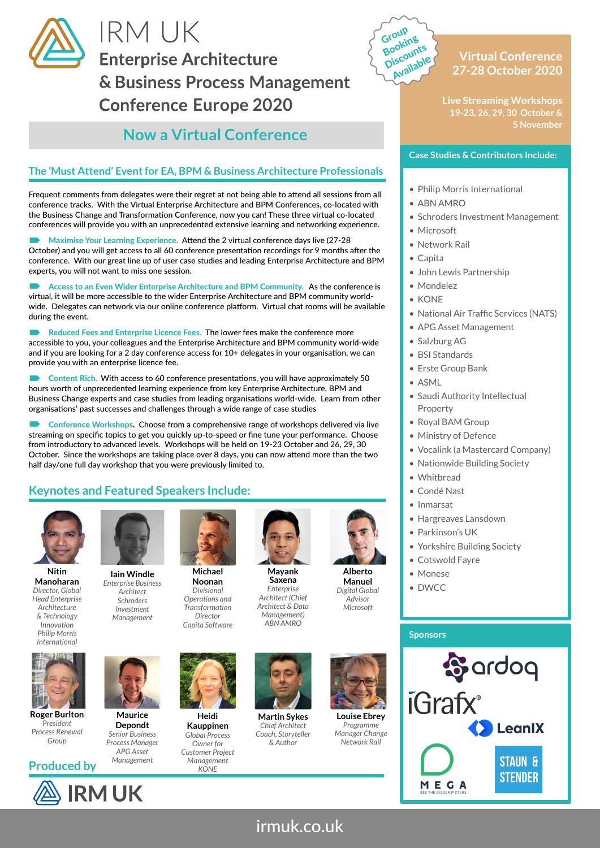

# **IRM UK Enterprise Architecture** & Business Process Management **Conference Europe 2020**

# **Now a Virtual Conference**

### **The 'Must Attend' Event for EA, BPM & Business Architecture Professionals**

Frequent comments from delegates were their regret at not being able to attend all sessions from all conference tracks. With the Virtual Enterprise Architecture and BPM Conferences, co-located with the Business Change and Transformation Conference, now you can! These three virtual co-located conferences will provide you with an unprecedented extensive learning and networking experience.

 Maximise Your Learning Experience. Attend the 2 virtual conference days live (27-28 October) and you will get access to all 60 conference presentation recordings for 9 months after the conference. With our great line up of user case studies and leading Enterprise Architecture and BPM experts, you will not want to miss one session.

 Access to an Even Wider Enterprise Architecture and BPM Community. As the conference is virtual, it will be more accessible to the wider Enterprise Architecture and BPM community worldwide. Delegates can network via our online conference platform. Virtual chat rooms will be available during the event.

Reduced Fees and Enterprise Licence Fees. The lower fees make the conference more accessible to you, your colleagues and the Enterprise Architecture and BPM community world-wide and if you are looking for a 2 day conference access for 10+ delegates in your organisation, we can provide you with an enterprise licence fee.

 Content Rich. With access to 60 conference presentations, you will have approximately 50 hours worth of unprecedented learning experience from key Enterprise Architecture, BPM and Business Change experts and case studies from leading organisations world-wide. Learn from other organisations' past successes and challenges through a wide range of case studies

 Conference Workshops. Choose from a comprehensive range of workshops delivered via live streaming on specific topics to get you quickly up-to-speed or fine tune your performance. Choose from introductory to advanced levels. Workshops will be held on 19-23 October and 26, 29, 30 October. Since the workshops are taking place over 8 days, you can now attend more than the two half day/one full day workshop that you were previously limited to.

> **Noonan** *Divisional*

*Director*

### **Keynotes and Featured Speakers Include:**



**Nitin Manoharan** *Director, Global Head Enterprise Architecture & Technology Innovation Philip Morris International*



**Roger Burlton** *President Process Renewal Group*







*Capita Software* **Iain Windle** *Enterprise Business Architect Schroders Investment Management*

**Maurice Depondt** *Senior Business Process Manager APG Asset Management*



**Heidi Kauppinen** *Global Process Owner for Customer Project Management KONE* 



**Saxena** *Enterprise* 



**Manuel** *Digital Global Advisor Microsoft*



**Martin Sykes** *Chief Architect Coach, Storyteller & Author*



*Programme Manager Change Network Rail*



**Live Streaming Workshops 19-23, 26, 29, 30 October & 5 November**

#### **Case Studies & Contributors Include:**

- Philip Morris International
- ABN AMRO

Group Booking Discounts Availabl<sup>e</sup>

- Schroders Investment Management • Microsoft
- Network Rail
- Capita
- John Lewis Partnership
- Mondelez
- KONE
- National Air Traffic Services (NATS)
- APG Asset Management
- Salzburg AG
- BSI Standards
- Erste Group Bank
- ASML
- Saudi Authority Intellectual Property
- Royal BAM Group
- Ministry of Defence
- Vocalink (a Mastercard Company)
- Nationwide Building Society
- Whitbread
- Condé Nast
- Inmarsat
- Hargreaves Lansdown
- Parkinson's UK
- Yorkshire Building Society
- Cotswold Fayre
- Monese
- DWCC

# **Sponsors**



irmuk.co.uk

*Operations and Transformation* 



*Architect (Chief Architect & Data Management) ABN AMRO*





**Louise Ebrey**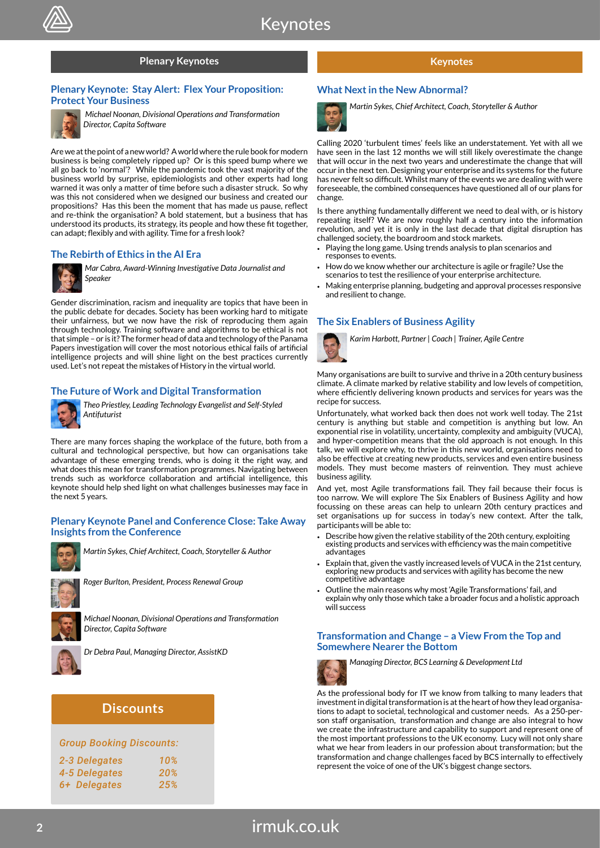#### **Plenary Keynotes**

#### **Plenary Keynote: Stay Alert: Flex Your Proposition: Protect Your Business**



*Michael Noonan, Divisional Operations and Transformation Director, Capita Software*

Are we at the point of a new world? A world where the rule book for modern business is being completely ripped up? Or is this speed bump where we all go back to 'normal'? While the pandemic took the vast majority of the business world by surprise, epidemiologists and other experts had long warned it was only a matter of time before such a disaster struck. So why was this not considered when we designed our business and created our propositions? Has this been the moment that has made us pause, reflect and re-think the organisation? A bold statement, but a business that has understood its products, its strategy, its people and how these fit together, can adapt; flexibly and with agility. Time for a fresh look?

#### **The Rebirth of Ethics in the AI Era**



*Mar Cabra, Award-Winning Investigative Data Journalist and Speaker*

Gender discrimination, racism and inequality are topics that have been in the public debate for decades. Society has been working hard to mitigate their unfairness, but we now have the risk of reproducing them again through technology. Training software and algorithms to be ethical is not that simple – or is it? The former head of data and technology of the Panama Papers investigation will cover the most notorious ethical fails of artificial intelligence projects and will shine light on the best practices currently used. Let's not repeat the mistakes of History in the virtual world.

#### **The Future of Work and Digital Transformation**



*Theo Priestley, Leading Technology Evangelist and Self-Styled Antifuturist*

There are many forces shaping the workplace of the future, both from a cultural and technological perspective, but how can organisations take advantage of these emerging trends, who is doing it the right way, and what does this mean for transformation programmes. Navigating between trends such as workforce collaboration and artificial intelligence, this keynote should help shed light on what challenges businesses may face in the next 5 years.

#### **Plenary Keynote Panel and Conference Close: Take Away Insights from the Conference**



*Martin Sykes, Chief Architect, Coach, Storyteller & Author* 



*Roger Burlton, President, Process Renewal Group*



*Michael Noonan, Divisional Operations and Transformation Director, Capita Software*



*Dr Debra Paul, Managing Director, AssistKD*

### **Discounts**

| <b>Group Booking Discounts:</b> |     |  |  |  |  |
|---------------------------------|-----|--|--|--|--|
| 2-3 Delegates                   | 10% |  |  |  |  |
| 4-5 Delegates                   | 20% |  |  |  |  |
| 6+ Delegates                    | 25% |  |  |  |  |

#### **Keynotes**

#### **What Next in the New Abnormal?**



*Martin Sykes, Chief Architect, Coach, Storyteller & Author*

Calling 2020 'turbulent times' feels like an understatement. Yet with all we have seen in the last 12 months we will still likely overestimate the change that will occur in the next two years and underestimate the change that will occur in the next ten. Designing your enterprise and its systems for the future has never felt so difficult. Whilst many of the events we are dealing with were foreseeable, the combined consequences have questioned all of our plans for change.

Is there anything fundamentally different we need to deal with, or is history repeating itself? We are now roughly half a century into the information revolution, and yet it is only in the last decade that digital disruption has challenged society, the boardroom and stock markets.

- Playing the long game. Using trends analysis to plan scenarios and responses to events.
- How do we know whether our architecture is agile or fragile? Use the scenarios to test the resilience of your enterprise architecture.
- Making enterprise planning, budgeting and approval processes responsive and resilient to change.

#### **The Six Enablers of Business Agility**



*Karim Harbott, Partner | Coach | Trainer, Agile Centre*

Many organisations are built to survive and thrive in a 20th century business climate. A climate marked by relative stability and low levels of competition, where efficiently delivering known products and services for years was the recipe for success.

Unfortunately, what worked back then does not work well today. The 21st century is anything but stable and competition is anything but low. An exponential rise in volatility, uncertainty, complexity and ambiguity (VUCA), and hyper-competition means that the old approach is not enough. In this talk, we will explore why, to thrive in this new world, organisations need to also be effective at creating new products, services and even entire business models. They must become masters of reinvention. They must achieve business agility.

And yet, most Agile transformations fail. They fail because their focus is too narrow. We will explore The Six Enablers of Business Agility and how focussing on these areas can help to unlearn 20th century practices and set organisations up for success in today's new context. After the talk, participants will be able to:

- Describe how given the relative stability of the 20th century, exploiting existing products and services with efficiency was the main competitive advantages
- Explain that, given the vastly increased levels of VUCA in the 21st century, exploring new products and services with agility has become the new competitive advantage
- Outline the main reasons why most 'Agile Transformations' fail, and explain why only those which take a broader focus and a holistic approach will success

#### **Transformation and Change – a View From the Top and Somewhere Nearer the Bottom**



*Managing Director, BCS Learning & Development Ltd*

As the professional body for IT we know from talking to many leaders that

investment in digital transformation is at the heart of how they lead organisations to adapt to societal, technological and customer needs. As a 250-person staff organisation, transformation and change are also integral to how we create the infrastructure and capability to support and represent one of the most important professions to the UK economy. Lucy will not only share what we hear from leaders in our profession about transformation; but the transformation and change challenges faced by BCS internally to effectively represent the voice of one of the UK's biggest change sectors.

# irmuk.co.uk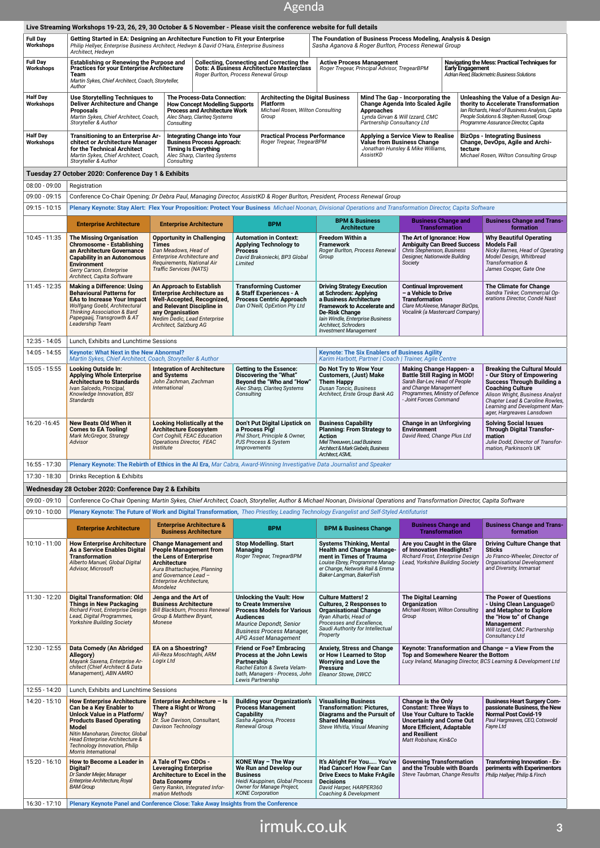### Agenda

| <b>Full Day</b>                | Live Streaming Workshops 19-23, 26, 29, 30 October & 5 November - Please visit the conference website for full details<br>Getting Started in EA: Designing an Architecture Function to Fit your Enterprise                                                               |                                                                                                                                                                                                         |                                      |                                                                                                                                                                                    |                                                                                                                                                                                                    |                                                                                                                                                                                                                                                                                                                             | The Foundation of Business Process Modeling, Analysis & Design                                                                                                                                            |                                                                                                                               |                                                                                                                                                                                                                                                                     |  |
|--------------------------------|--------------------------------------------------------------------------------------------------------------------------------------------------------------------------------------------------------------------------------------------------------------------------|---------------------------------------------------------------------------------------------------------------------------------------------------------------------------------------------------------|--------------------------------------|------------------------------------------------------------------------------------------------------------------------------------------------------------------------------------|----------------------------------------------------------------------------------------------------------------------------------------------------------------------------------------------------|-----------------------------------------------------------------------------------------------------------------------------------------------------------------------------------------------------------------------------------------------------------------------------------------------------------------------------|-----------------------------------------------------------------------------------------------------------------------------------------------------------------------------------------------------------|-------------------------------------------------------------------------------------------------------------------------------|---------------------------------------------------------------------------------------------------------------------------------------------------------------------------------------------------------------------------------------------------------------------|--|
| Workshops                      | Philip Hellyer, Enterprise Business Architect, Hedwyn & David O'Hara, Enterprise Business<br>Architect, Hedwyn                                                                                                                                                           |                                                                                                                                                                                                         |                                      |                                                                                                                                                                                    |                                                                                                                                                                                                    |                                                                                                                                                                                                                                                                                                                             | Sasha Aganova & Roger Burlton, Process Renewal Group                                                                                                                                                      |                                                                                                                               |                                                                                                                                                                                                                                                                     |  |
| Full Day<br>Workshops          | <b>Establishing or Renewing the Purpose and</b><br><b>Practices for your Enterprise Architecture</b><br>Team<br>Martin Sykes, Chief Architect, Coach, Storyteller,<br>Author                                                                                             |                                                                                                                                                                                                         | Roger Burlton, Process Renewal Group | <b>Collecting, Connecting and Correcting the</b><br><b>Dots: A Business Architecture Masterclass</b>                                                                               |                                                                                                                                                                                                    | <b>Active Process Management</b><br>Roger Tregear, Principal Advisor, TregearBPM<br><b>Early Engagement</b>                                                                                                                                                                                                                 |                                                                                                                                                                                                           |                                                                                                                               | Navigating the Mess: Practical Techniques for<br>Adrian Reed, Blackmetric Business Solutions                                                                                                                                                                        |  |
| Half Day<br>Workshops          | <b>Use Storytelling Techniques to</b><br><b>Deliver Architecture and Change</b><br><b>Proposals</b><br>Martin Sykes, Chief Architect, Coach,<br>Storyteller & Author                                                                                                     | The Process-Data Connection:<br><b>How Concept Modelling Supports</b><br><b>Process and Architecture Work</b><br>Alec Sharp, Clariteg Systems<br>Consulting                                             |                                      | <b>Architecting the Digital Business</b><br><b>Platform</b><br>Michael Rosen, Wilton Consulting<br>Group                                                                           |                                                                                                                                                                                                    | Mind The Gap - Incorporating the<br><b>Change Agenda Into Scaled Agile</b><br><b>Approaches</b><br>Lynda Girvan & Will Izzard, CMC<br>Partnership Consultancy Ltd                                                                                                                                                           |                                                                                                                                                                                                           |                                                                                                                               | Unleashing the Value of a Design Au-<br>thority to Accelerate Transformation<br>Ian Richards, Head of Business Analysis, Capita<br>People Solutions & Stephen Russell, Group<br>Programme Assurance Director, Capita                                                |  |
| Half Day<br>Workshops          | Transitioning to an Enterprise Ar-<br>chitect or Architecture Manager<br>for the Technical Architect<br>Martin Sykes, Chief Architect, Coach,<br>Storyteller & Author                                                                                                    | <b>Integrating Change into Your</b><br><b>Business Process Approach:</b><br><b>Timing Is Everything</b><br>Alec Sharp, Clariteg Systems<br>Consulting                                                   |                                      | <b>Practical Process Performance</b><br>Roger Tregear, TregearBPM                                                                                                                  | Applying a Service View to Realise<br><b>Value from Business Change</b><br>Jonathan Hunsley & Mike Williams,<br>AssistKD                                                                           |                                                                                                                                                                                                                                                                                                                             |                                                                                                                                                                                                           | <b>BizOps - Integrating Business</b><br>Change, DevOps, Agile and Archi-<br>tecture<br>Michael Rosen, Wilton Consulting Group |                                                                                                                                                                                                                                                                     |  |
|                                | Tuesday 27 October 2020: Conference Day 1 & Exhibits                                                                                                                                                                                                                     |                                                                                                                                                                                                         |                                      |                                                                                                                                                                                    |                                                                                                                                                                                                    |                                                                                                                                                                                                                                                                                                                             |                                                                                                                                                                                                           |                                                                                                                               |                                                                                                                                                                                                                                                                     |  |
| 08:00 - 09:00                  | Registration                                                                                                                                                                                                                                                             |                                                                                                                                                                                                         |                                      |                                                                                                                                                                                    |                                                                                                                                                                                                    |                                                                                                                                                                                                                                                                                                                             |                                                                                                                                                                                                           |                                                                                                                               |                                                                                                                                                                                                                                                                     |  |
| 09:00 - 09:15                  | Conference Co-Chair Opening: Dr Debra Paul, Managing Director, AssistKD & Roger Burlton, President, Process Renewal Group                                                                                                                                                |                                                                                                                                                                                                         |                                      |                                                                                                                                                                                    |                                                                                                                                                                                                    |                                                                                                                                                                                                                                                                                                                             |                                                                                                                                                                                                           |                                                                                                                               |                                                                                                                                                                                                                                                                     |  |
| $09:15 - 10:15$                | Plenary Keynote: Stay Alert: Flex Your Proposition: Protect Your Business Michael Noonan, Divisional Operations and Transformation Director, Capita Software                                                                                                             |                                                                                                                                                                                                         |                                      |                                                                                                                                                                                    |                                                                                                                                                                                                    |                                                                                                                                                                                                                                                                                                                             |                                                                                                                                                                                                           |                                                                                                                               |                                                                                                                                                                                                                                                                     |  |
|                                | <b>Enterprise Architecture</b>                                                                                                                                                                                                                                           | <b>Enterprise Architecture</b>                                                                                                                                                                          |                                      | <b>BPM</b>                                                                                                                                                                         |                                                                                                                                                                                                    | <b>BPM &amp; Business</b><br><b>Architecture</b>                                                                                                                                                                                                                                                                            | <b>Business Change and</b><br><b>Transformation</b>                                                                                                                                                       |                                                                                                                               | <b>Business Change and Trans-</b><br>formation                                                                                                                                                                                                                      |  |
| 10:45 - 11:35                  | <b>The Missing Organisation</b><br><b>Chromosome - Establishing</b><br>an Architecture Governance<br><b>Capability in an Autonomous</b><br><b>Environment</b><br>Gerry Carson, Enterprise<br>Architect, Capita Software                                                  | <b>Opportunity in Challenging</b><br>Times<br>Dan Meadows, Head of<br>Enterprise Architecture and<br>Requirements, National Air<br><b>Traffic Services (NATS)</b>                                       | <b>Process</b><br>Limited            | <b>Automation in Context:</b><br><b>Applying Technology to</b><br>David Brakoniecki, BP3 Global                                                                                    | <b>Freedom Within a</b><br><b>Framework</b><br>Group                                                                                                                                               | Roger Burlton, Process Renewal                                                                                                                                                                                                                                                                                              | The Art of Ignorance: How<br><b>Ambiguity Can Breed Success</b><br>Chris Stephenson, Business<br>Designer, Nationwide Building<br>Society                                                                 |                                                                                                                               | <b>Why Beautiful Operating</b><br><b>Models Fail</b><br>Nicky Barnes, Head of Operating<br>Model Design, Whitbread<br>Transformation &<br>James Cooper, Gate One                                                                                                    |  |
| 11:45 - 12:35                  | <b>Making a Difference: Using</b><br><b>Behavioural Patterns for</b><br><b>EAs to Increase Your Impact</b><br>Wolfgang Goebl, Architectural<br>Thinking Association & Bard<br>Papegaaij, Transgrowth & AT<br>Leadership Team                                             | An Approach to Establish<br><b>Enterprise Architecture as</b><br>Well-Accepted, Recognized,<br>and Relevant Discipline in<br>any Organisation<br>Nedim Dedic, Lead Enterprise<br>Architect, Salzburg AG |                                      | <b>Transforming Customer</b><br>& Staff Experiences - A<br><b>Process Centric Approach</b><br>Dan O'Neill, OpExtion Pty Ltd                                                        |                                                                                                                                                                                                    | <b>Driving Strategy Execution</b><br><b>Continual Improvement</b><br>at Schroders: Applying<br>- a Vehicle to Drive<br>a Business Architecture<br><b>Transformation</b><br><b>Framework to Accelerate and</b><br>De-Risk Change<br>Iain Windle, Enterprise Business<br>Architect, Schroders<br><b>Investment Management</b> |                                                                                                                                                                                                           | Clare McAleese, Manager BizOps,<br>Vocalink (a Mastercard Company)                                                            | The Climate for Change<br>Sandra Tinker, Commercial Op-<br>erations Director, Condé Nast                                                                                                                                                                            |  |
| 12:35 - 14:05                  | Lunch, Exhibits and Lunchtime Sessions                                                                                                                                                                                                                                   |                                                                                                                                                                                                         |                                      |                                                                                                                                                                                    |                                                                                                                                                                                                    |                                                                                                                                                                                                                                                                                                                             |                                                                                                                                                                                                           |                                                                                                                               |                                                                                                                                                                                                                                                                     |  |
| 14:05 - 14:55                  | <b>Keynote: What Next in the New Abnormal?</b><br>Martin Sykes, Chief Architect, Coach, Storyteller & Author<br><b>Looking Outside In:</b>                                                                                                                               |                                                                                                                                                                                                         |                                      |                                                                                                                                                                                    |                                                                                                                                                                                                    | <b>Keynote: The Six Enablers of Business Agility</b><br>Karim Harbott, Partner   Coach   Trainer, Agile Centre                                                                                                                                                                                                              |                                                                                                                                                                                                           |                                                                                                                               |                                                                                                                                                                                                                                                                     |  |
| 15:05 - 15:55                  | <b>Applying Whole Enterprise</b><br><b>Architecture to Standards</b><br>Ivan Salcedo, Principal,<br>Knowledge Innovation, BSI<br><b>Standards</b>                                                                                                                        | <b>Integration of Architecture</b><br>and Systems<br>John Zachman, Zachman<br>International                                                                                                             | Consulting                           | <b>Getting to the Essence:</b><br>Discovering the "What"<br>Beyond the "Who and "How"<br>Alec Sharp, Clariteg Systems                                                              | Do Not Try to Wow Your<br><b>Customers, (Just) Make</b><br><b>Them Happy</b><br><b>Dusan Toncic, Business</b><br>Architect, Erste Group Bank AG                                                    |                                                                                                                                                                                                                                                                                                                             | Making Change Happen- a<br><b>Battle Still Raging in MOD!</b><br>Sarah Bar-Lev, Head of People<br>and Change Management<br>Programmes, Ministry of Defence<br>- Joint Forces Command                      |                                                                                                                               | <b>Breaking the Cultural Mould</b><br>- Our Story of Empowering<br><b>Success Through Building a</b><br><b>Coaching Culture</b><br>Alison Wright, Business Analyst<br>Chapter Lead & Caroline Rowles,<br>Learning and Development Man-<br>ager, Hargreaves Lansdown |  |
| 16:20 -16:45                   | New Beats Old When it<br><b>Comes to EA Tooling!</b><br>Mark McGregor, Strategy<br>Advisor                                                                                                                                                                               | <b>Looking Holistically at the</b><br><b>Architecture Ecosystem</b><br>Cort Coghill, FEAC Education<br>Operations Director, FEAC<br>Institute                                                           | a Process Pig!<br>Improvements       | Don't Put Digital Lipstick on<br>Phil Short, Principle & Owner,<br>PJS Process & System                                                                                            | <b>Business Capability</b><br><b>Planning: From Strategy to</b><br>Action<br>Miel Theeuwen, Lead Business<br>Architect & Mark Giebels, Business<br>Architect, ASML                                 |                                                                                                                                                                                                                                                                                                                             | Change in an Unforgiving<br>Environment<br>David Reed, Change Plus Ltd                                                                                                                                    |                                                                                                                               | <b>Solving Social Issues</b><br><b>Through Digital Transfor-</b><br>mation<br>Julie Dodd, Director of Transfor-<br>mation, Parkinson's UK                                                                                                                           |  |
| 16:55 - 17:30                  | Plenary Keynote: The Rebirth of Ethics in the AI Era, Mar Cabra, Award-Winning Investigative Data Journalist and Speaker                                                                                                                                                 |                                                                                                                                                                                                         |                                      |                                                                                                                                                                                    |                                                                                                                                                                                                    |                                                                                                                                                                                                                                                                                                                             |                                                                                                                                                                                                           |                                                                                                                               |                                                                                                                                                                                                                                                                     |  |
| 17:30 - 18:30                  | Drinks Reception & Exhibits                                                                                                                                                                                                                                              |                                                                                                                                                                                                         |                                      |                                                                                                                                                                                    |                                                                                                                                                                                                    |                                                                                                                                                                                                                                                                                                                             |                                                                                                                                                                                                           |                                                                                                                               |                                                                                                                                                                                                                                                                     |  |
|                                | Wednesday 28 October 2020: Conference Day 2 & Exhibits                                                                                                                                                                                                                   |                                                                                                                                                                                                         |                                      |                                                                                                                                                                                    |                                                                                                                                                                                                    |                                                                                                                                                                                                                                                                                                                             |                                                                                                                                                                                                           |                                                                                                                               |                                                                                                                                                                                                                                                                     |  |
| 09:00 - 09:10<br>09:10 - 10:00 | Conference Co-Chair Opening: Martin Sykes, Chief Architect, Coach, Storyteller, Author & Michael Noonan, Divisional Operations and Transformation Director, Capita Software                                                                                              |                                                                                                                                                                                                         |                                      |                                                                                                                                                                                    |                                                                                                                                                                                                    |                                                                                                                                                                                                                                                                                                                             |                                                                                                                                                                                                           |                                                                                                                               |                                                                                                                                                                                                                                                                     |  |
|                                | Plenary Keynote: The Future of Work and Digital Transformation, Theo Priestley, Leading Technology Evangelist and Self-Styled Antifuturist<br><b>Enterprise Architecture</b>                                                                                             | <b>Enterprise Architecture &amp;</b>                                                                                                                                                                    |                                      | <b>BPM</b>                                                                                                                                                                         |                                                                                                                                                                                                    | <b>BPM &amp; Business Change</b>                                                                                                                                                                                                                                                                                            | <b>Business Change and</b>                                                                                                                                                                                |                                                                                                                               | <b>Business Change and Trans-</b>                                                                                                                                                                                                                                   |  |
|                                |                                                                                                                                                                                                                                                                          | <b>Business Architecture</b>                                                                                                                                                                            |                                      |                                                                                                                                                                                    |                                                                                                                                                                                                    |                                                                                                                                                                                                                                                                                                                             | <b>Transformation</b>                                                                                                                                                                                     |                                                                                                                               | formation                                                                                                                                                                                                                                                           |  |
| 10:10 - 11:00                  | <b>How Enterprise Architecture</b><br>As a Service Enables Digital<br><b>Transformation</b><br>Alberto Manuel, Global Digital<br>Advisor, Microsoft                                                                                                                      | <b>Change Management and</b><br><b>People Management from</b><br>the Lens of Enterprise<br><b>Architecture</b><br>Aura Bhattacharjee, Planning<br>and Governance Lead -<br>Enterprise Architecture,     | Managing                             | <b>Stop Modelling. Start</b><br>Roger Tregear, TregearBPM                                                                                                                          | <b>Systems Thinking, Mental</b><br>ment in Times of Trauma<br>Baker-Langman, BakerFish                                                                                                             | <b>Health and Change Manage-</b><br>Louise Ebrey, Programme Manag-<br>er Change, Network Rail & Emma                                                                                                                                                                                                                        | Are you Caught in the Glare<br>of Innovation Headlights?<br>Richard Frost, Enterprise Design<br>Lead, Yorkshire Building Society                                                                          |                                                                                                                               | Driving Culture Change that<br><b>Sticks</b><br>Jo Franco-Wheeler, Director of<br>Organisational Development<br>and Diversity, Inmarsat                                                                                                                             |  |
|                                |                                                                                                                                                                                                                                                                          | Mondelez                                                                                                                                                                                                |                                      |                                                                                                                                                                                    |                                                                                                                                                                                                    |                                                                                                                                                                                                                                                                                                                             |                                                                                                                                                                                                           |                                                                                                                               |                                                                                                                                                                                                                                                                     |  |
| 11:30 - 12:20                  | <b>Digital Transformation: Old</b><br><b>Things in New Packaging</b><br>Richard Frost, Enterprise Design<br>Lead, Digital Programmes,<br><b>Yorkshire Building Society</b>                                                                                               | Jenga and the Art of<br><b>Business Architecture</b><br>Bill Blackburn, Process Renewal<br>Group & Matthew Bryant,<br>Monese                                                                            | <b>Audiences</b>                     | <b>Unlocking the Vault: How</b><br>to Create Immersive<br><b>Process Models for Various</b><br>Maurice Depondt, Senior<br><b>Business Process Manager,</b><br>APG Asset Management | <b>Culture Matters! 2</b><br><b>Cultures, 2 Responses to</b><br><b>Organisational Change</b><br>Ryan Alharbi, Head of<br>Processes and Excellence,<br>Saudi Authority for Intellectual<br>Property |                                                                                                                                                                                                                                                                                                                             | <b>The Digital Learning</b><br>Organization<br>Michael Rosen, Wilton Consulting<br>Group                                                                                                                  |                                                                                                                               | <b>The Power of Questions</b><br>- Using Clean Language©<br>and Metaphor to Explore<br>the "How to" of Change<br>Management<br>Will Izzard, CMC Partnership<br>Consultancy Ltd                                                                                      |  |
| 12:30 - 12:55                  | Data Comedy (An Abridged<br>Allegory)<br>Mayank Saxena, Enterprise Ar-<br>chitect (Chief Architect & Data<br>Management), ABN AMRO                                                                                                                                       | <b>EA on a Shoestring?</b><br>Ali-Reza Moschtaghi, ARM<br>Logix Ltd                                                                                                                                     | Partnership                          | <b>Friend or Foe? Embracing</b><br>Process at the John Lewis<br>Rachel Eaton & Sweta Velam-<br>bath, Managers - Process, John<br>Lewis Partnership                                 | <b>Anxiety, Stress and Change</b><br>or How I Learned to Stop<br>Worrying and Love the<br><b>Pressure</b><br>Eleanor Stowe, DWCC                                                                   |                                                                                                                                                                                                                                                                                                                             | Top and Somewhere Nearer the Bottom                                                                                                                                                                       |                                                                                                                               | Keynote: Transformation and Change - a View From the<br>Lucy Ireland, Managing Director, BCS Learning & Development Ltd                                                                                                                                             |  |
| 12:55 - 14:20                  | Lunch, Exhibits and Lunchtime Sessions                                                                                                                                                                                                                                   |                                                                                                                                                                                                         |                                      |                                                                                                                                                                                    |                                                                                                                                                                                                    |                                                                                                                                                                                                                                                                                                                             |                                                                                                                                                                                                           |                                                                                                                               |                                                                                                                                                                                                                                                                     |  |
| 14:20 - 15:10                  | <b>How Enterprise Architecture</b><br>Can be a Key Enabler to<br>Unlock Value in a Platform/<br><b>Products Based Operating</b><br>Model<br>Nitin Manoharan, Director, Global<br>Head Enterprise Architecture &<br>Technology Innovation, Philip<br>Morris International | Enterprise Architecture - Is<br>There a Right or Wrong<br>Way?<br>Dr. Sue Davison, Consultant,<br><b>Davison Technology</b>                                                                             | Capability<br>Renewal Group          | <b>Building your Organization's</b><br><b>Process Management</b><br>Sasha Aganova, Process                                                                                         | <b>Visualising Business</b><br><b>Transformation: Pictures,</b><br><b>Shared Meaning</b><br>Steve Whitla, Visual Meaning                                                                           | Diagrams and the Pursuit of                                                                                                                                                                                                                                                                                                 | <b>Change is the Only</b><br><b>Constant: Three Ways to</b><br>Use Your Culture to Tackle<br><b>Uncertainty and Come Out</b><br><b>More Efficient, Adaptable</b><br>and Resilient<br>Matt Robshaw, Kin&Co |                                                                                                                               | <b>Business Heart Surgery Com-</b><br>passionate Business, the New<br><b>Normal Post Covid-19</b><br>Paul Hargreaves, CEO, Cotswold<br>Fayre Ltd                                                                                                                    |  |
| 15:20 - 16:10                  | How to Become a Leader in<br>Digital?<br>Dr Sander Meijer, Manager<br>Enterprise Architecture, Royal<br><b>BAM Group</b>                                                                                                                                                 | A Tale of Two CDOs -<br><b>Leveraging Enterprise</b><br>Architecture to Excel in the<br>Data Economy<br>Gerry Rankin, Integrated Infor-<br>mation Methods                                               | <b>Business</b>                      | KONE Way - The Way<br>We Run and Develop our<br>Heidi Kauppinen, Global Process<br>Owner for Manage Project,<br><b>KONE</b> Corporation                                            | Had Cancer! How Fear Can<br><b>Decisions</b><br>David Harper, HARPER360<br>Coaching & Development                                                                                                  | It's Alright For You You've<br><b>Drive Execs to Make FrAgile</b>                                                                                                                                                                                                                                                           | <b>Governing Transformation</b><br>and the Trouble with Boards<br>Steve Taubman, Change Results                                                                                                           |                                                                                                                               | Transforming Innovation - Ex-<br>periments with Experimentors<br>Philip Hellyer, Philip & Finch                                                                                                                                                                     |  |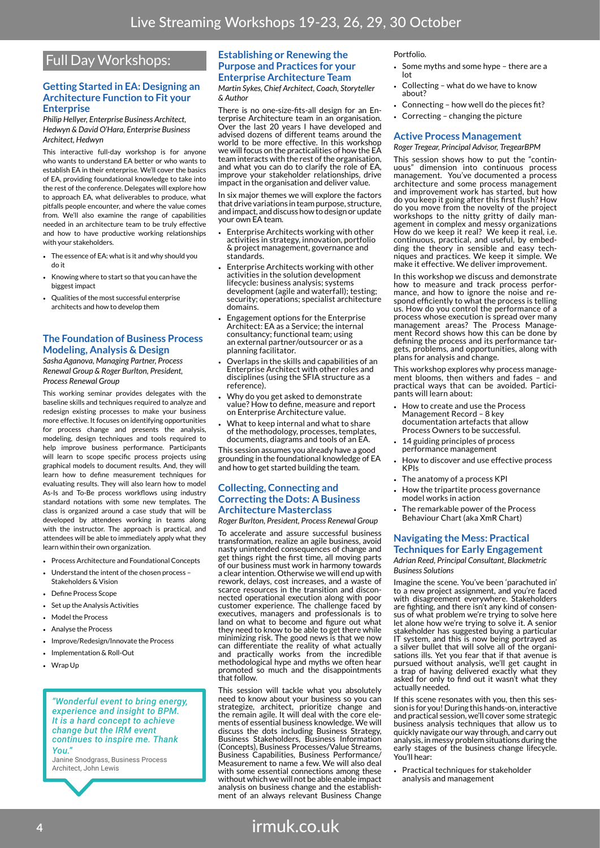## Full Day Workshops:

#### **Getting Started in EA: Designing an Architecture Function to Fit your Enterprise**

*Philip Hellyer, Enterprise Business Architect, Hedwyn & David O'Hara, Enterprise Business Architect, Hedwyn*

This interactive full-day workshop is for anyone who wants to understand EA better or who wants to establish EA in their enterprise. We'll cover the basics of EA, providing foundational knowledge to take into the rest of the conference. Delegates will explore how to approach EA, what deliverables to produce, what pitfalls people encounter, and where the value comes from. We'll also examine the range of capabilities needed in an architecture team to be truly effective and how to have productive working relationships with your stakeholders.

- The essence of EA: what is it and why should you do it
- Knowing where to start so that you can have the biggest impact
- Qualities of the most successful enterprise architects and how to develop them

#### **The Foundation of Business Process Modeling, Analysis & Design**

*Sasha Aganova, Managing Partner, Process Renewal Group & Roger Burlton, President, Process Renewal Group*

This working seminar provides delegates with the baseline skills and techniques required to analyze and redesign existing processes to make your business more effective. It focuses on identifying opportunities for process change and presents the analysis, modeling, design techniques and tools required to help improve business performance. Participants will learn to scope specific process projects using graphical models to document results. And, they will learn how to define measurement techniques for evaluating results. They will also learn how to model As-Is and To-Be process workflows using industry standard notations with some new templates. The class is organized around a case study that will be developed by attendees working in teams along with the instructor. The approach is practical, and attendees will be able to immediately apply what they learn within their own organization.

- Process Architecture and Foundational Concents
- Understand the intent of the chosen process Stakeholders & Vision
- Define Process Scope
- Set up the Analysis Activities
- Model the Process
- Analyse the Process
- Improve/Redesign/Innovate the Process
- Implementation & Roll-Out
- Wrap Up

#### *"Wonderful event to bring energy, experience and insight to BPM. It is a hard concept to achieve change but the IRM event continues to inspire me. Thank You."*

Janine Snodgrass, Business Process Architect, John Lewis

#### **Establishing or Renewing the Purpose and Practices for your Enterprise Architecture Team**

*Martin Sykes, Chief Architect, Coach, Storyteller & Author*

There is no one-size-fits-all design for an Enterprise Architecture team in an organisation. Over the last 20 years I have developed and advised dozens of different teams around the world to be more effective. In this workshop we will focus on the practicalities of how the EA team interacts with the rest of the organisation, and what you can do to clarify the role of EA, improve your stakeholder relationships, drive impact in the organisation and deliver value.

In six major themes we will explore the factors that drive variations in team purpose, structure, and impact, and discuss how to design or update your own EA team.

- Enterprise Architects working with other activities in strategy, innovation, portfolio & project management, governance and standards.
- Enterprise Architects working with other activities in the solution development lifecycle: business analysis; systems development (agile and waterfall); testing; security; operations; specialist architecture domains.
- Engagement options for the Enterprise Architect: EA as a Service; the internal consultancy; functional team; using an external partner/outsourcer or as a planning facilitator.
- Overlaps in the skills and capabilities of an Enterprise Architect with other roles and disciplines (using the SFIA structure as a reference).
- Why do you get asked to demonstrate value? How to define, measure and report on Enterprise Architecture value.
- What to keep internal and what to share of the methodology, processes, templates, documents, diagrams and tools of an EA.

This session assumes you already have a good grounding in the foundational knowledge of EA and how to get started building the team.

#### **Collecting, Connecting and Correcting the Dots: A Business Architecture Masterclass**

*Roger Burlton, President, Process Renewal Group*

To accelerate and assure successful business transformation, realize an agile business, avoid nasty unintended consequences of change and get things right the first time, all moving parts of our business must work in harmony towards a clear intention. Otherwise we will end up with rework, delays, cost increases, and a waste of scarce resources in the transition and disconnected operational execution along with poor customer experience. The challenge faced by executives, managers and professionals is to land on what to become and figure out what they need to know to be able to get there while minimizing risk. The good news is that we now can differentiate the reality of what actually and practically works from the incredible methodological hype and myths we often hear promoted so much and the disappointments that follow.

This session will tackle what you absolutely need to know about your business so you can strategize, architect, prioritize change and the remain agile. It will deal with the core elements of essential business knowledge. We will discuss the dots including Business Strategy, Business Stakeholders, Business Information (Concepts), Business Processes/Value Streams, Business Capabilities, Business Performance/ Measurement to name a few. We will also deal with some essential connections among these without which we will not be able enable impact analysis on business change and the establishment of an always relevant Business Change

Portfolio.

- Some myths and some hype there are a lot
- Collecting what do we have to know about?
- Connecting how well do the pieces fit?
- Correcting changing the picture

#### **Active Process Management**

*Roger Tregear, Principal Advisor, TregearBPM*

This session shows how to put the "continuous" dimension into continuous process management. You've documented a process architecture and some process management and improvement work has started, but how do you keep it going after this first flush? How do you move from the novelty of the project workshops to the nitty gritty of daily management in complex and messy organizations How do we keep it real? We keep it real, i.e. continuous, practical, and useful, by embedding the theory in sensible and easy techniques and practices. We keep it simple. We make it effective. We deliver improvement.

In this workshop we discuss and demonstrate how to measure and track process performance, and how to ignore the noise and respond efficiently to what the process is telling us. How do you control the performance of a process whose execution is spread over many<br>management areas? The Process Management Record shows how this can be done by defining the process and its performance targets, problems, and opportunities, along with plans for analysis and change.

This workshop explores why process management blooms, then withers and fades – and practical ways that can be avoided. Participants will learn about:

- How to create and use the Process Management Record – 8 key documentation artefacts that allow Process Owners to be successful.
- 14 guiding principles of process performance management
- How to discover and use effective process KPIs
- The anatomy of a process KPI
- How the tripartite process governance model works in action
- The remarkable power of the Process Behaviour Chart (aka XmR Chart)

#### **Navigating the Mess: Practical Techniques for Early Engagement** *Adrian Reed, Principal Consultant, Blackmetric Business Solutions*

Imagine the scene. You've been 'parachuted in' to a new project assignment, and you're faced with disagreement everywhere. Stakeholders are fighting, and there isn't any kind of consensus of what problem we're trying to solve here let alone how we're trying to solve it. A senior stakeholder has suggested buying a particular IT system, and this is now being portrayed as a silver bullet that will solve all of the organisations ills. Yet you fear that if that avenue is pursued without analysis, we'll get caught in a trap of having delivered exactly what they asked for only to find out it wasn't what they actually needed.

If this scene resonates with you, then this session is for you! During this hands-on, interactive and practical session, we'll cover some strategic business analysis techniques that allow us to quickly navigate our way through, and carry out analysis, in messy problem situations during the early stages of the business change lifecycle. You'll hear:

Practical techniques for stakeholder analysis and management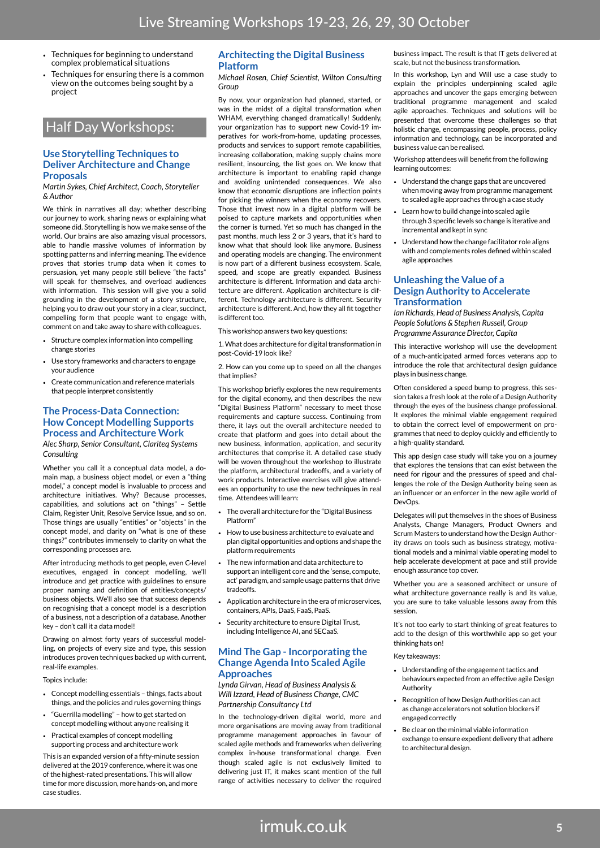- Techniques for beginning to understand complex problematical situations
- Techniques for ensuring there is a common view on the outcomes being sought by a project

### Half Day Workshops:

#### **Use Storytelling Techniques to Deliver Architecture and Change Proposals**

*Martin Sykes, Chief Architect, Coach, Storyteller & Author*

We think in narratives all day; whether describing our journey to work, sharing news or explaining what someone did. Storytelling is how we make sense of the world. Our brains are also amazing visual processors, able to handle massive volumes of information by spotting patterns and inferring meaning. The evidence proves that stories trump data when it comes to persuasion, yet many people still believe "the facts" will speak for themselves, and overload audiences with information. This session will give you a solid grounding in the development of a story structure, helping you to draw out your story in a clear, succinct, compelling form that people want to engage with, comment on and take away to share with colleagues.

- Structure complex information into compelling change stories
- Use story frameworks and characters to engage your audience
- Create communication and reference materials that people interpret consistently

#### **The Process-Data Connection: How Concept Modelling Supports Process and Architecture Work** *Alec Sharp, Senior Consultant, Clariteq Systems Consulting*

Whether you call it a conceptual data model, a domain map, a business object model, or even a "thing model," a concept model is invaluable to process and architecture initiatives. Why? Because processes, capabilities, and solutions act on "things" – Settle Claim, Register Unit, Resolve Service Issue, and so on. Those things are usually "entities" or "objects" in the concept model, and clarity on "what is one of these things?" contributes immensely to clarity on what the corresponding processes are.

After introducing methods to get people, even C-level executives, engaged in concept modelling, we'll introduce and get practice with guidelines to ensure proper naming and definition of entities/concepts/ business objects. We'll also see that success depends on recognising that a concept model is a description of a business, not a description of a database. Another key – don't call it a data model!

Drawing on almost forty years of successful modelling, on projects of every size and type, this session introduces proven techniques backed up with current, real-life examples.

Topics include:

- Concept modelling essentials things, facts about things, and the policies and rules governing things
- "Guerrilla modelling" how to get started on concept modelling without anyone realising it
- Practical examples of concept modelling supporting process and architecture work

This is an expanded version of a fifty-minute session delivered at the 2019 conference, where it was one of the highest-rated presentations. This will allow time for more discussion, more hands-on, and more case studies.

#### **Architecting the Digital Business Platform**

*Michael Rosen, Chief Scientist, Wilton Consulting Group*

By now, your organization had planned, started, or was in the midst of a digital transformation when WHAM, everything changed dramatically! Suddenly, your organization has to support new Covid-19 imperatives for work-from-home, updating processes, products and services to support remote capabilities, increasing collaboration, making supply chains more resilient, insourcing, the list goes on. We know that architecture is important to enabling rapid change and avoiding unintended consequences. We also know that economic disruptions are inflection points for picking the winners when the economy recovers. Those that invest now in a digital platform will be poised to capture markets and opportunities when the corner is turned. Yet so much has changed in the past months, much less 2 or 3 years, that it's hard to know what that should look like anymore. Business and operating models are changing. The environment is now part of a different business ecosystem. Scale, speed, and scope are greatly expanded. Business architecture is different. Information and data architecture are different. Application architecture is different. Technology architecture is different. Security architecture is different. And, how they all fit together is different too.

This workshop answers two key questions:

1. What does architecture for digital transformation in post-Covid-19 look like?

2. How can you come up to speed on all the changes that implies?

This workshop briefly explores the new requirements for the digital economy, and then describes the new "Digital Business Platform" necessary to meet those requirements and capture success. Continuing from there, it lays out the overall architecture needed to create that platform and goes into detail about the new business, information, application, and security architectures that comprise it. A detailed case study will be woven throughout the workshop to illustrate the platform, architectural tradeoffs, and a variety of work products. Interactive exercises will give attendees an opportunity to use the new techniques in real time. Attendees will learn:

- The overall architecture for the "Digital Business Platform"
- How to use business architecture to evaluate and plan digital opportunities and options and shape the platform requirements
- The new information and data architecture to support an intelligent core and the 'sense, compute, act' paradigm, and sample usage patterns that drive tradeoffs.
- Application architecture in the era of microservices, containers, APIs, DaaS, FaaS, PaaS.
- Security architecture to ensure Digital Trust, including Intelligence AI, and SECaaS.

#### **Mind The Gap - Incorporating the Change Agenda Into Scaled Agile Approaches**

#### *Lynda Girvan, Head of Business Analysis & Will Izzard, Head of Business Change, CMC Partnership Consultancy Ltd*

In the technology-driven digital world, more and more organisations are moving away from traditional programme management approaches in favour of scaled agile methods and frameworks when delivering complex in-house transformational change. Even though scaled agile is not exclusively limited to delivering just IT, it makes scant mention of the full range of activities necessary to deliver the required

business impact. The result is that IT gets delivered at scale, but not the business transformation.

In this workshop, Lyn and Will use a case study to explain the principles underpinning scaled agile approaches and uncover the gaps emerging between traditional programme management and scaled agile approaches. Techniques and solutions will be presented that overcome these challenges so that holistic change, encompassing people, process, policy information and technology, can be incorporated and business value can be realised.

Workshop attendees will benefit from the following learning outcomes:

- Understand the change gaps that are uncovered when moving away from programme management to scaled agile approaches through a case study
- Learn how to build change into scaled agile through 3 specific levels so change is iterative and incremental and kept in sync
- Understand how the change facilitator role aligns with and complements roles defined within scaled agile approaches

#### **Unleashing the Value of a Design Authority to Accelerate Transformation**

*Ian Richards, Head of Business Analysis, Capita People Solutions & Stephen Russell, Group Programme Assurance Director, Capita*

This interactive workshop will use the development of a much-anticipated armed forces veterans app to introduce the role that architectural design guidance plays in business change.

Often considered a speed bump to progress, this session takes a fresh look at the role of a Design Authority through the eyes of the business change professional. It explores the minimal viable engagement required to obtain the correct level of empowerment on programmes that need to deploy quickly and efficiently to a high-quality standard.

This app design case study will take you on a journey that explores the tensions that can exist between the need for rigour and the pressures of speed and challenges the role of the Design Authority being seen as an influencer or an enforcer in the new agile world of DevOps.

Delegates will put themselves in the shoes of Business Analysts, Change Managers, Product Owners and Scrum Masters to understand how the Design Authority draws on tools such as business strategy, motivational models and a minimal viable operating model to help accelerate development at pace and still provide enough assurance top cover.

Whether you are a seasoned architect or unsure of what architecture governance really is and its value, you are sure to take valuable lessons away from this session.

It's not too early to start thinking of great features to add to the design of this worthwhile app so get your thinking hats on!

Key takeaways:

- Understanding of the engagement tactics and behaviours expected from an effective agile Design Authority
- Recognition of how Design Authorities can act as change accelerators not solution blockers if engaged correctly
- Be clear on the minimal viable information exchange to ensure expedient delivery that adhere to architectural design.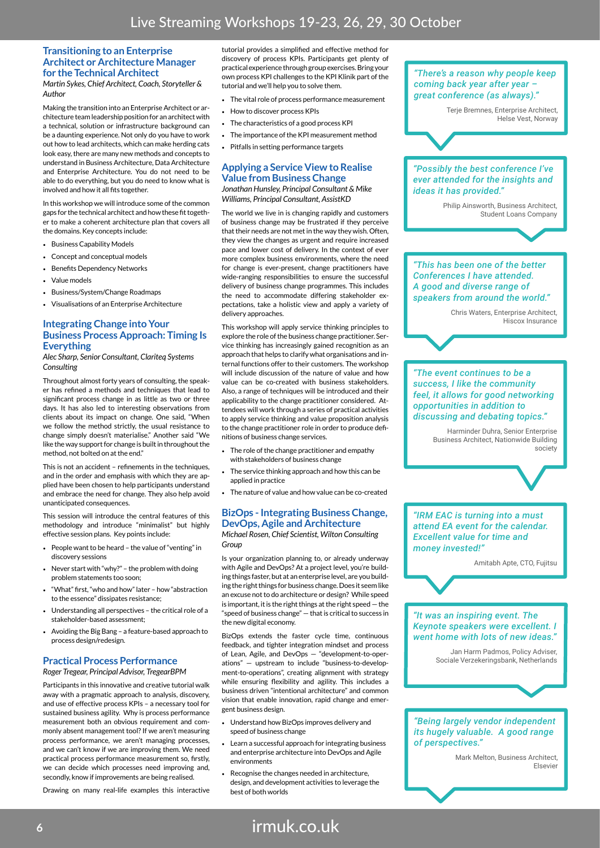#### **Transitioning to an Enterprise Architect or Architecture Manager for the Technical Architect**

*Martin Sykes, Chief Architect, Coach, Storyteller & Author*

Making the transition into an Enterprise Architect or architecture team leadership position for an architect with a technical, solution or infrastructure background can be a daunting experience. Not only do you have to work out how to lead architects, which can make herding cats look easy, there are many new methods and concepts to understand in Business Architecture, Data Architecture and Enterprise Architecture. You do not need to be able to do everything, but you do need to know what is involved and how it all fits together.

In this workshop we will introduce some of the common gaps for the technical architect and how these fit together to make a coherent architecture plan that covers all the domains. Key concepts include:

- Business Capability Models
- Concept and conceptual models
- Benefits Dependency Networks
- Value models
- Business/System/Change Roadmaps
- Visualisations of an Enterprise Architecture

#### **Integrating Change into Your Business Process Approach: Timing Is Everything**

*Alec Sharp, Senior Consultant, Clariteq Systems Consulting*

Throughout almost forty years of consulting, the speaker has refined a methods and techniques that lead to significant process change in as little as two or three days. It has also led to interesting observations from clients about its impact on change. One said, "When we follow the method strictly, the usual resistance to change simply doesn't materialise." Another said "We like the way support for change is built in throughout the method, not bolted on at the end."

This is not an accident – refinements in the techniques, and in the order and emphasis with which they are applied have been chosen to help participants understand and embrace the need for change. They also help avoid unanticipated consequences.

This session will introduce the central features of this methodology and introduce "minimalist" but highly effective session plans. Key points include:

- People want to be heard the value of "venting" in discovery sessions
- Never start with "why?" the problem with doing problem statements too soon;
- "What" first, "who and how" later how "abstraction to the essence" dissipates resistance;
- Understanding all perspectives the critical role of a stakeholder-based assessment;
- Avoiding the Big Bang a feature-based approach to process design/redesign.

#### **Practical Process Performance** *Roger Tregear, Principal Advisor, TregearBPM*

Participants in this innovative and creative tutorial walk away with a pragmatic approach to analysis, discovery, and use of effective process KPIs – a necessary tool for sustained business agility. Why is process performance measurement both an obvious requirement and commonly absent management tool? If we aren't measuring process performance, we aren't managing processes, and we can't know if we are improving them. We need practical process performance measurement so, firstly, we can decide which processes need improving and, secondly, know if improvements are being realised.

Drawing on many real-life examples this interactive

tutorial provides a simplified and effective method for discovery of process KPIs. Participants get plenty of practical experience through group exercises. Bring your own process KPI challenges to the KPI Klinik part of the tutorial and we'll help you to solve them.

- The vital role of process performance measurement
- How to discover process KPIs
- The characteristics of a good process KPI
- The importance of the KPI measurement method
- Pitfalls in setting performance targets

### **Applying a Service View to Realise Value from Business Change**

*Jonathan Hunsley, Principal Consultant & Mike Williams, Principal Consultant, AssistKD*

The world we live in is changing rapidly and customers of business change may be frustrated if they perceive that their needs are not met in the way they wish. Often, they view the changes as urgent and require increased pace and lower cost of delivery. In the context of ever more complex business environments, where the need for change is ever-present, change practitioners have wide-ranging responsibilities to ensure the successful delivery of business change programmes. This includes the need to accommodate differing stakeholder expectations, take a holistic view and apply a variety of delivery approaches.

This workshop will apply service thinking principles to explore the role of the business change practitioner. Service thinking has increasingly gained recognition as an approach that helps to clarify what organisations and internal functions offer to their customers. The workshop will include discussion of the nature of value and how value can be co-created with business stakeholders. Also, a range of techniques will be introduced and their applicability to the change practitioner considered. Attendees will work through a series of practical activities to apply service thinking and value proposition analysis to the change practitioner role in order to produce definitions of business change services.

- The role of the change practitioner and empathy with stakeholders of business change
- The service thinking approach and how this can be applied in practice
- The nature of value and how value can be co-created

#### **BizOps - Integrating Business Change, DevOps, Agile and Architecture** *Michael Rosen, Chief Scientist, Wilton Consulting Group*

Is your organization planning to, or already underway with Agile and DevOps? At a project level, you're building things faster, but at an enterprise level, are you building the right things for business change. Does it seem like an excuse not to do architecture or design? While speed is important, it is the right things at the right speed — the "speed of business change" — that is critical to success in the new digital economy.

BizOps extends the faster cycle time, continuous feedback, and tighter integration mindset and process of Lean, Agile, and DevOps — "development-to-operations" — upstream to include "business-to-development-to-operations", creating alignment with strategy while ensuring flexibility and agility. This includes a business driven "intentional architecture" and common vision that enable innovation, rapid change and emergent business design.

- Understand how BizOps improves delivery and speed of business change
- Learn a successful approach for integrating business and enterprise architecture into DevOps and Agile environments
- Recognise the changes needed in architecture, design, and development activities to leverage the best of both worlds



**<sup>6</sup>** irmuk.co.uk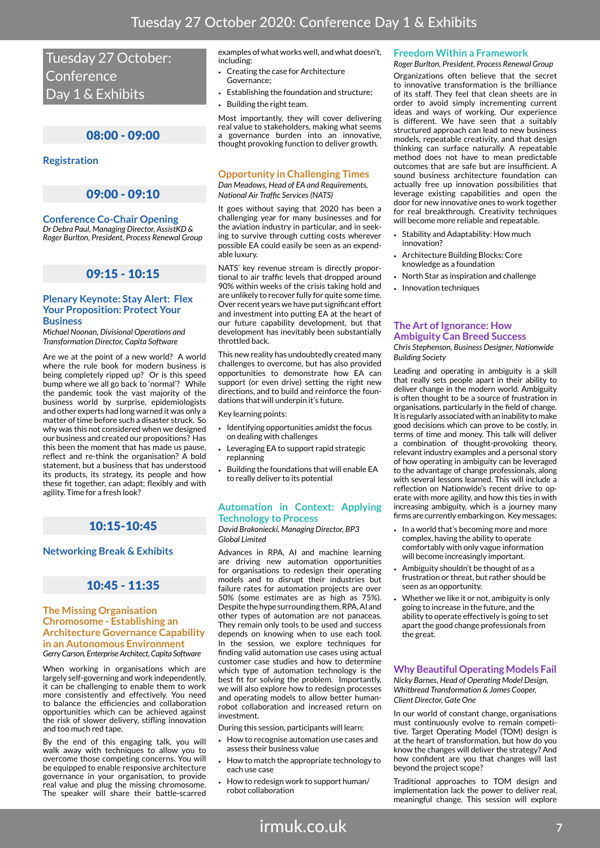Tuesday 27 October: **Conference** Day 1 & Exhibits

#### 08:00 - 09:00

#### **Registration**

### 09:00 - 09:10

**Conference Co-Chair Opening** *Dr Debra Paul, Managing Director, AssistKD & Roger Burlton, President, Process Renewal Group*

### 09:15 - 10:15

#### **Plenary Keynote: Stay Alert: Flex Your Proposition: Protect Your Business**

*Michael Noonan, Divisional Operations and Transformation Director, Capita Software*

Are we at the point of a new world? A world where the rule book for modern business is being completely ripped up? Or is this speed bump where we all go back to 'normal'? While the pandemic took the vast majority of the business world by surprise, epidemiologists and other experts had long warned it was only a matter of time before such a disaster struck. So why was this not considered when we designed our business and created our propositions? Has this been the moment that has made us pause, reflect and re-think the organisation? A bold statement, but a business that has understood its products, its strategy, its people and how these fit together, can adapt; flexibly and with agility. Time for a fresh look?

#### 10:15-10:45

#### **Networking Break & Exhibits**

#### 10:45 - 11:35

#### **The Missing Organisation Chromosome - Establishing an Architecture Governance Capability in an Autonomous Environment** *Gerry Carson, Enterprise Architect, Capita Software*

When working in organisations which are largely self-governing and work independently, it can be challenging to enable them to work more consistently and effectively. You need to balance the efficiencies and collaboration opportunities which can be achieved against the risk of slower delivery, stifling innovation and too much red tape.

By the end of this engaging talk, you will walk away with techniques to allow you to overcome those competing concerns. You will be equipped to enable responsive architecture governance in your organisation, to provide real value and plug the missing chromosome. The speaker will share their battle-scarred

examples of what works well, and what doesn't, including:

- Creating the case for Architecture Governance;
- Establishing the foundation and structure;
- Building the right team.

Most importantly, they will cover delivering real value to stakeholders, making what seems a governance burden into an innovative, thought provoking function to deliver growth.

#### **Opportunity in Challenging Times**

*Dan Meadows, Head of EA and Requirements, National Air Traffic Services (NATS)*

It goes without saying that 2020 has been a challenging year for many businesses and for the aviation industry in particular, and in seeking to survive through cutting costs wherever possible EA could easily be seen as an expendable luxury.

NATS' key revenue stream is directly proportional to air traffic levels that dropped around 90% within weeks of the crisis taking hold and are unlikely to recover fully for quite some time. Over recent years we have put significant effort and investment into putting EA at the heart of our future capability development, but that development has inevitably been substantially throttled back.

This new reality has undoubtedly created many challenges to overcome, but has also provided opportunities to demonstrate how EA can support (or even drive) setting the right new directions, and to build and reinforce the foundations that will underpin it's future.

Key learning points:

- Identifying opportunities amidst the focus on dealing with challenges
- Leveraging EA to support rapid strategic replanning
- Building the foundations that will enable EA to really deliver to its potential

#### **Automation in Context: Applying Technology to Process**

*David Brakoniecki, Managing Director, BP3 Global Limited*

Advances in RPA, AI and machine learning are driving new automation opportunities for organisations to redesign their operating models and to disrupt their industries but failure rates for automation projects are over 50% (some estimates are as high as 75%). Despite the hype surrounding them, RPA, AI and other types of automation are not panaceas. They remain only tools to be used and success depends on knowing when to use each tool. In the session, we explore techniques for finding valid automation use cases using actual customer case studies and how to determine which type of automation technology is the best fit for solving the problem. Importantly, we will also explore how to redesign processes and operating models to allow better humanrobot collaboration and increased return on investment.

During this session, participants will learn:

- How to recognise automation use cases and assess their business value
- How to match the appropriate technology to each use case
- How to redesign work to support human/ robot collaboration

#### **Freedom Within a Framework**

*Roger Burlton, President, Process Renewal Group* Organizations often believe that the secret to innovative transformation is the brilliance of its staff. They feel that clean sheets are in order to avoid simply incrementing current ideas and ways of working. Our experience is different. We have seen that a suitably structured approach can lead to new business models, repeatable creativity, and that design thinking can surface naturally. A repeatable method does not have to mean predictable outcomes that are safe but are insufficient. A sound business architecture foundation can actually free up innovation possibilities that leverage existing capabilities and open the door for new innovative ones to work together for real breakthrough. Creativity techniques will become more reliable and repeatable.

- Stability and Adaptability: How much innovation?
- Architecture Building Blocks: Core knowledge as a foundation
- North Star as inspiration and challenge
- Innovation techniques

#### **The Art of Ignorance: How Ambiguity Can Breed Success**

*Chris Stephenson, Business Designer, Nationwide Building Society*

Leading and operating in ambiguity is a skill that really sets people apart in their ability to deliver change in the modern world. Ambiguity is often thought to be a source of frustration in organisations, particularly in the field of change. It is regularly associated with an inability to make good decisions which can prove to be costly, in terms of time and money. This talk will deliver a combination of thought-provoking theory, relevant industry examples and a personal story of how operating in ambiguity can be leveraged to the advantage of change professionals, along with several lessons learned. This will include a reflection on Nationwide's recent drive to operate with more agility, and how this ties in with increasing ambiguity, which is a journey many firms are currently embarking on. Key messages:

- In a world that's becoming more and more complex, having the ability to operate comfortably with only vague information will become increasingly important.
- Ambiguity shouldn't be thought of as a frustration or threat, but rather should be seen as an opportunity.
- Whether we like it or not, ambiguity is only going to increase in the future, and the ability to operate effectively is going to set apart the good change professionals from the great.

#### **Why Beautiful Operating Models Fail**

*Nicky Barnes, Head of Operating Model Design, Whitbread Transformation & James Cooper, Client Director, Gate One* 

In our world of constant change, organisations must continuously evolve to remain competitive. Target Operating Model (TOM) design is at the heart of transformation, but how do you know the changes will deliver the strategy? And how confident are you that changes will last beyond the project scope?

Traditional approaches to TOM design and implementation lack the power to deliver real, meaningful change. This session will explore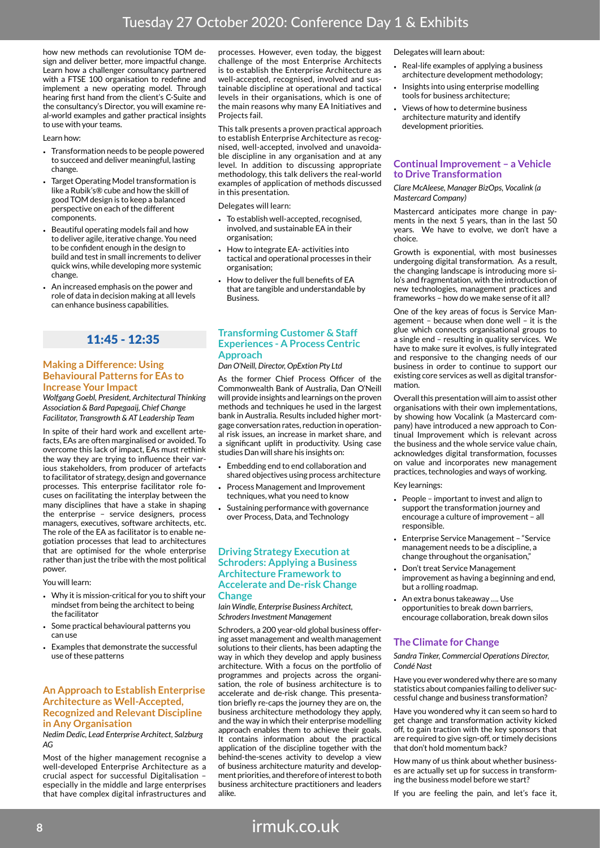how new methods can revolutionise TOM design and deliver better, more impactful change. Learn how a challenger consultancy partnered with a FTSE 100 organisation to redefine and implement a new operating model. Through hearing first hand from the client's C-Suite and the consultancy's Director, you will examine real-world examples and gather practical insights to use with your teams.

#### Learn how:

- Transformation needs to be people powered to succeed and deliver meaningful, lasting change.
- Target Operating Model transformation is like a Rubik's® cube and how the skill of good TOM design is to keep a balanced perspective on each of the different components.
- Beautiful operating models fail and how to deliver agile, iterative change. You need to be confident enough in the design to build and test in small increments to deliver quick wins, while developing more systemic change.
- An increased emphasis on the power and role of data in decision making at all levels can enhance business capabilities.

### 11:45 - 12:35

#### **Making a Difference: Using Behavioural Patterns for EAs to Increase Your Impact**

*Wolfgang Goebl, President, Architectural Thinking Association & Bard Papegaaij, Chief Change Facilitator, Transgrowth & AT Leadership Team*

In spite of their hard work and excellent artefacts, EAs are often marginalised or avoided. To overcome this lack of impact, EAs must rethink the way they are trying to influence their various stakeholders, from producer of artefacts to facilitator of strategy, design and governance processes. This enterprise facilitator role focuses on facilitating the interplay between the many disciplines that have a stake in shaping the enterprise – service designers, process managers, executives, software architects, etc. The role of the EA as facilitator is to enable negotiation processes that lead to architectures that are optimised for the whole enterprise rather than just the tribe with the most political power.

You will learn:

- Why it is mission-critical for you to shift your mindset from being the architect to being the facilitator
- Some practical behavioural patterns you can use
- Examples that demonstrate the successful use of these patterns

#### **An Approach to Establish Enterprise Architecture as Well-Accepted, Recognized and Relevant Discipline in Any Organisation**

*Nedim Dedic, Lead Enterprise Architect, Salzburg AG*

Most of the higher management recognise a well-developed Enterprise Architecture as a crucial aspect for successful Digitalisation – especially in the middle and large enterprises that have complex digital infrastructures and

processes. However, even today, the biggest challenge of the most Enterprise Architects is to establish the Enterprise Architecture as well-accepted, recognised, involved and sustainable discipline at operational and tactical levels in their organisations, which is one of the main reasons why many EA Initiatives and Projects fail.

This talk presents a proven practical approach to establish Enterprise Architecture as recognised, well-accepted, involved and unavoidable discipline in any organisation and at any level. In addition to discussing appropriate methodology, this talk delivers the real-world examples of application of methods discussed in this presentation.

Delegates will learn:

- To establish well-accepted, recognised, involved, and sustainable EA in their organisation;
- How to integrate EA- activities into tactical and operational processes in their organisation;
- How to deliver the full benefits of EA that are tangible and understandable by **Business**

#### **Transforming Customer & Staff Experiences - A Process Centric Approach**

#### *Dan O'Neill, Director, OpExtion Pty Ltd*

As the former Chief Process Officer of the Commonwealth Bank of Australia, Dan O'Neill will provide insights and learnings on the proven methods and techniques he used in the largest bank in Australia. Results included higher mortgage conversation rates, reduction in operational risk issues, an increase in market share, and a significant uplift in productivity. Using case studies Dan will share his insights on:

- Embedding end to end collaboration and shared objectives using process architecture
- Process Management and Improvement techniques, what you need to know
- Sustaining performance with governance over Process, Data, and Technology

#### **Driving Strategy Execution at Schroders: Applying a Business Architecture Framework to Accelerate and De-risk Change Change**

*Iain Windle, Enterprise Business Architect, Schroders Investment Management*

Schroders, a 200 year-old global business offering asset management and wealth management solutions to their clients, has been adapting the way in which they develop and apply business architecture. With a focus on the portfolio of programmes and projects across the organisation, the role of business architecture is to accelerate and de-risk change. This presentation briefly re-caps the journey they are on, the business architecture methodology they apply, and the way in which their enterprise modelling approach enables them to achieve their goals. It contains information about the practical application of the discipline together with the behind-the-scenes activity to develop a view of business architecture maturity and development priorities, and therefore of interest to both business architecture practitioners and leaders alike.

#### Delegates will learn about:

- Real-life examples of applying a business architecture development methodology;
- Insights into using enterprise modelling tools for business architecture;
- Views of how to determine business architecture maturity and identify development priorities.

#### **Continual Improvement – a Vehicle to Drive Transformation**

*Clare McAleese, Manager BizOps, Vocalink (a Mastercard Company)*

Mastercard anticipates more change in payments in the next 5 years, than in the last 50 years. We have to evolve, we don't have a choice.

Growth is exponential, with most businesses undergoing digital transformation. As a result, the changing landscape is introducing more silo's and fragmentation, with the introduction of new technologies, management practices and frameworks – how do we make sense of it all?

One of the key areas of focus is Service Management – because when done well – it is the glue which connects organisational groups to a single end – resulting in quality services. We have to make sure it evolves, is fully integrated and responsive to the changing needs of our business in order to continue to support our existing core services as well as digital transformation.

Overall this presentation will aim to assist other organisations with their own implementations, by showing how Vocalink (a Mastercard company) have introduced a new approach to Continual Improvement which is relevant across the business and the whole service value chain, acknowledges digital transformation, focusses on value and incorporates new management practices, technologies and ways of working.

#### Key learnings:

- People important to invest and align to support the transformation journey and encourage a culture of improvement – all responsible.
- Enterprise Service Management "Service management needs to be a discipline, a change throughout the organisation,"
- Don't treat Service Management improvement as having a beginning and end, but a rolling roadmap.
- An extra bonus takeaway …. Use opportunities to break down barriers, encourage collaboration, break down silos

#### **The Climate for Change**

*Sandra Tinker, Commercial Operations Director, Condé Nast*

Have you ever wondered why there are so many statistics about companies failing to deliver successful change and business transformation?

Have you wondered why it can seem so hard to get change and transformation activity kicked off, to gain traction with the key sponsors that are required to give sign-off, or timely decisions that don't hold momentum back?

How many of us think about whether businesses are actually set up for success in transforming the business model before we start?

If you are feeling the pain, and let's face it,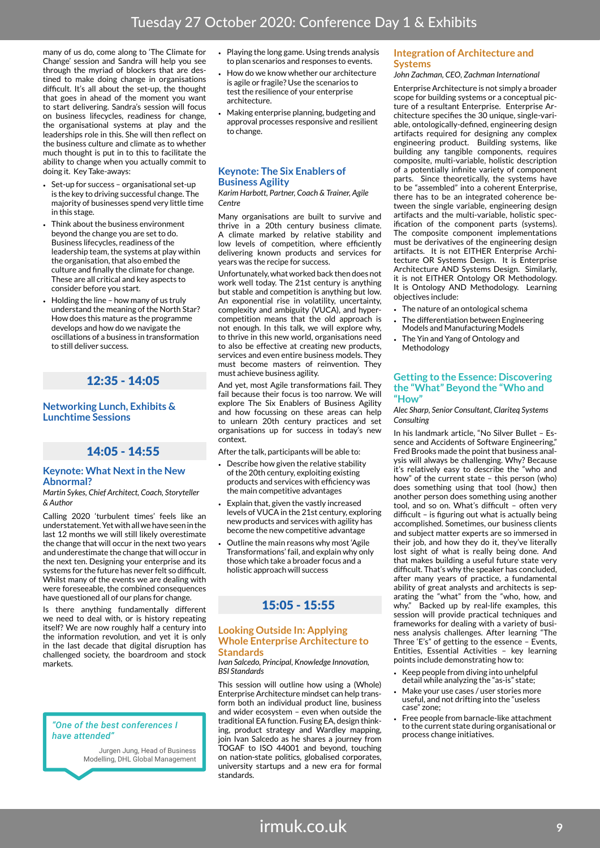many of us do, come along to 'The Climate for Change' session and Sandra will help you see through the myriad of blockers that are destined to make doing change in organisations difficult. It's all about the set-up, the thought that goes in ahead of the moment you want to start delivering. Sandra's session will focus on business lifecycles, readiness for change, the organisational systems at play and the leaderships role in this. She will then reflect on the business culture and climate as to whether much thought is put in to this to facilitate the ability to change when you actually commit to doing it. Key Take-aways:

- Set-up for success organisational set-up is the key to driving successful change. The majority of businesses spend very little time in this stage.
- Think about the business environment beyond the change you are set to do. Business lifecycles, readiness of the leadership team, the systems at play within the organisation, that also embed the culture and finally the climate for change. These are all critical and key aspects to consider before you start.
- Holding the line how many of us truly understand the meaning of the North Star? How does this mature as the programme develops and how do we navigate the oscillations of a business in transformation to still deliver success.

### 12:35 - 14:05

#### **Networking Lunch, Exhibits & Lunchtime Sessions**

#### 14:05 - 14:55

#### **Keynote: What Next in the New Abnormal?**

*Martin Sykes, Chief Architect, Coach, Storyteller & Author*

Calling 2020 'turbulent times' feels like an understatement. Yet with all we have seen in the last 12 months we will still likely overestimate the change that will occur in the next two years and underestimate the change that will occur in the next ten. Designing your enterprise and its systems for the future has never felt so difficult. Whilst many of the events we are dealing with were foreseeable, the combined consequences have questioned all of our plans for change.

Is there anything fundamentally different we need to deal with, or is history repeating itself? We are now roughly half a century into the information revolution, and yet it is only in the last decade that digital disruption has challenged society, the boardroom and stock markets.

#### *"One of the best conferences I have attended"*

Jurgen Jung, Head of Business Modelling, DHL Global Management

- Playing the long game. Using trends analysis to plan scenarios and responses to events.
- How do we know whether our architecture is agile or fragile? Use the scenarios to test the resilience of your enterprise architecture.
- Making enterprise planning, budgeting and approval processes responsive and resilient to change.

#### **Keynote: The Six Enablers of Business Agility**

*Karim Harbott, Partner, Coach & Trainer, Agile Centre*

Many organisations are built to survive and thrive in a 20th century business climate. A climate marked by relative stability and low levels of competition, where efficiently delivering known products and services for years was the recipe for success.

Unfortunately, what worked back then does not work well today. The 21st century is anything but stable and competition is anything but low. An exponential rise in volatility, uncertainty, complexity and ambiguity (VUCA), and hypercompetition means that the old approach is not enough. In this talk, we will explore why, to thrive in this new world, organisations need to also be effective at creating new products, services and even entire business models. They must become masters of reinvention. They must achieve business agility.

And yet, most Agile transformations fail. They fail because their focus is too narrow. We will explore The Six Enablers of Business Agility and how focussing on these areas can help to unlearn 20th century practices and set organisations up for success in today's new context.

After the talk, participants will be able to:

- Describe how given the relative stability of the 20th century, exploiting existing products and services with efficiency was the main competitive advantages
- Explain that, given the vastly increased levels of VUCA in the 21st century, exploring new products and services with agility has become the new competitive advantage
- Outline the main reasons why most 'Agile Transformations' fail, and explain why only those which take a broader focus and a holistic approach will success

### 15:05 - 15:55

#### **Looking Outside In: Applying Whole Enterprise Architecture to Standards**

*Ivan Salcedo, Principal, Knowledge Innovation, BSI Standards*

This session will outline how using a (Whole) Enterprise Architecture mindset can help transform both an individual product line, business and wider ecosystem – even when outside the traditional EA function. Fusing EA, design thinking, product strategy and Wardley mapping, join Ivan Salcedo as he shares a journey from TOGAF to ISO 44001 and beyond, touching on nation-state politics, globalised corporates, university startups and a new era for formal standards.

#### **Integration of Architecture and Systems**

#### *John Zachman, CEO, Zachman International*

Enterprise Architecture is not simply a broader scope for building systems or a conceptual picture of a resultant Enterprise. Enterprise Architecture specifies the 30 unique, single-variable, ontologically-defined, engineering design artifacts required for designing any complex engineering product. Building systems, like building any tangible components, requires composite, multi-variable, holistic description of a potentially infinite variety of component parts. Since theoretically, the systems have to be "assembled" into a coherent Enterprise, there has to be an integrated coherence between the single variable, engineering design artifacts and the multi-variable, holistic specification of the component parts (systems). The composite component implementations must be derivatives of the engineering design artifacts. It is not EITHER Enterprise Architecture OR Systems Design. It is Enterprise Architecture AND Systems Design. Similarly, it is not EITHER Ontology OR Methodology. It is Ontology AND Methodology. Learning objectives include:

- The nature of an ontological schema
- The differentiation between Engineering Models and Manufacturing Models
- The Yin and Yang of Ontology and Methodology

#### **Getting to the Essence: Discovering the "What" Beyond the "Who and "How"**

*Alec Sharp, Senior Consultant, Clariteq Systems Consulting* 

In his landmark article, "No Silver Bullet – Essence and Accidents of Software Engineering," Fred Brooks made the point that business analysis will always be challenging. Why? Because it's relatively easy to describe the "who and how" of the current state – this person (who) does something using that tool (how,) then another person does something using another tool, and so on. What's difficult – often very difficult – is figuring out what is actually being accomplished. Sometimes, our business clients and subject matter experts are so immersed in their job, and how they do it, they've literally lost sight of what is really being done. And that makes building a useful future state very difficult. That's why the speaker has concluded, after many years of practice, a fundamental ability of great analysts and architects is separating the "what" from the "who, how, and why." Backed up by real-life examples, this session will provide practical techniques and frameworks for dealing with a variety of business analysis challenges. After learning "The Three 'E's" of getting to the essence – Events, Entities, Essential Activities – key learning points include demonstrating how to:

- Keep people from diving into unhelpful detail while analyzing the "as-is" state;
- Make your use cases / user stories more useful, and not drifting into the "useless case" zone;
- Free people from barnacle-like attachment to the current state during organisational or process change initiatives.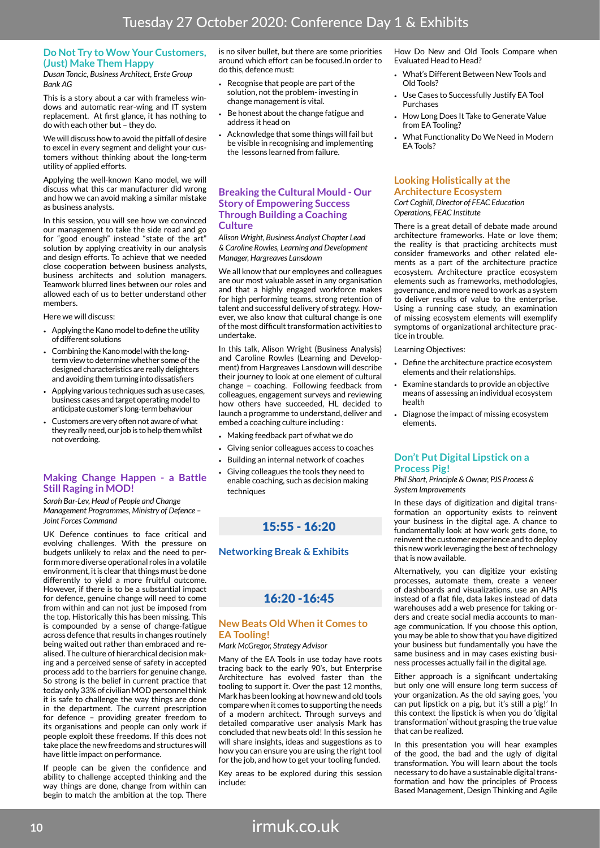#### **Do Not Try to Wow Your Customers, (Just) Make Them Happy**

*Dusan Toncic, Business Architect, Erste Group Bank AG*

This is a story about a car with frameless windows and automatic rear-wing and IT system replacement. At first glance, it has nothing to do with each other but – they do.

We will discuss how to avoid the pitfall of desire to excel in every segment and delight your customers without thinking about the long-term utility of applied efforts.

Applying the well-known Kano model, we will discuss what this car manufacturer did wrong and how we can avoid making a similar mistake as business analysts.

In this session, you will see how we convinced our management to take the side road and go for "good enough" instead "state of the art" solution by applying creativity in our analysis and design efforts. To achieve that we needed close cooperation between business analysts, business architects and solution managers. Teamwork blurred lines between our roles and allowed each of us to better understand other members.

Here we will discuss:

- Applying the Kano model to define the utility of different solutions
- Combining the Kano model with the longterm view to determine whether some of the designed characteristics are really delighters and avoiding them turning into dissatisfiers
- Applying various techniques such as use cases, business cases and target operating model to anticipate customer's long-term behaviour
- Customers are very often not aware of what they really need, our job is to help them whilst not overdoing.

#### **Making Change Happen - a Battle Still Raging in MOD!**

*Sarah Bar-Lev, Head of People and Change Management Programmes, Ministry of Defence – Joint Forces Command*

UK Defence continues to face critical and evolving challenges. With the pressure on budgets unlikely to relax and the need to perform more diverse operational roles in a volatile environment, it is clear that things must be done differently to yield a more fruitful outcome. However, if there is to be a substantial impact for defence, genuine change will need to come from within and can not just be imposed from the top. Historically this has been missing. This is compounded by a sense of change-fatigue across defence that results in changes routinely being waited out rather than embraced and realised. The culture of hierarchical decision making and a perceived sense of safety in accepted process add to the barriers for genuine change. So strong is the belief in current practice that today only 33% of civilian MOD personnel think it is safe to challenge the way things are done in the department. The current prescription for defence – providing greater freedom to its organisations and people can only work if people exploit these freedoms. If this does not take place the new freedoms and structures will have little impact on performance.

If people can be given the confidence and ability to challenge accepted thinking and the way things are done, change from within can begin to match the ambition at the top. There

is no silver bullet, but there are some priorities around which effort can be focused.In order to do this, defence must:

- Recognise that people are part of the solution, not the problem- investing in change management is vital.
- Be honest about the change fatigue and address it head on
- Acknowledge that some things will fail but be visible in recognising and implementing the lessons learned from failure.

#### **Breaking the Cultural Mould - Our Story of Empowering Success Through Building a Coaching Culture**

*Alison Wright, Business Analyst Chapter Lead & Caroline Rowles, Learning and Development Manager, Hargreaves Lansdown*

We all know that our employees and colleagues are our most valuable asset in any organisation and that a highly engaged workforce makes for high performing teams, strong retention of talent and successful delivery of strategy. However, we also know that cultural change is one of the most difficult transformation activities to undertake.

In this talk, Alison Wright (Business Analysis) and Caroline Rowles (Learning and Development) from Hargreaves Lansdown will describe their journey to look at one element of cultural change – coaching. Following feedback from colleagues, engagement surveys and reviewing how others have succeeded, HL decided to launch a programme to understand, deliver and embed a coaching culture including :

- Making feedback part of what we do
- Giving senior colleagues access to coaches
- Building an internal network of coaches
- Giving colleagues the tools they need to enable coaching, such as decision making techniques

### 15:55 - 16:20

#### **Networking Break & Exhibits**

### 16:20 -16:45

#### **New Beats Old When it Comes to EA Tooling!**

#### *Mark McGregor, Strategy Advisor*

Many of the EA Tools in use today have roots tracing back to the early 90's, but Enterprise Architecture has evolved faster than the tooling to support it. Over the past 12 months, Mark has been looking at how new and old tools compare when it comes to supporting the needs of a modern architect. Through surveys and detailed comparative user analysis Mark has concluded that new beats old! In this session he will share insights, ideas and suggestions as to how you can ensure you are using the right tool for the job, and how to get your tooling funded.

Key areas to be explored during this session include:

How Do New and Old Tools Compare when Evaluated Head to Head?

- What's Different Between New Tools and Old Tools?
- Use Cases to Successfully Justify EA Tool Purchases
- How Long Does It Take to Generate Value from EA Tooling?
- What Functionality Do We Need in Modern EA Tools?

### **Looking Holistically at the Architecture Ecosystem**

*Cort Coghill, Director of FEAC Education Operations, FEAC Institute*

There is a great detail of debate made around architecture frameworks. Hate or love them; the reality is that practicing architects must consider frameworks and other related elements as a part of the architecture practice ecosystem. Architecture practice ecosystem elements such as frameworks, methodologies, governance, and more need to work as a system to deliver results of value to the enterprise. Using a running case study, an examination of missing ecosystem elements will exemplify symptoms of organizational architecture practice in trouble.

Learning Objectives:

- Define the architecture practice ecosystem elements and their relationships.
- Examine standards to provide an objective means of assessing an individual ecosystem health
- Diagnose the impact of missing ecosystem elements.

#### **Don't Put Digital Lipstick on a Process Pig!**

*Phil Short, Principle & Owner, PJS Process & System Improvements*

In these days of digitization and digital transformation an opportunity exists to reinvent your business in the digital age. A chance to fundamentally look at how work gets done, to reinvent the customer experience and to deploy this new work leveraging the best of technology that is now available.

Alternatively, you can digitize your existing processes, automate them, create a veneer of dashboards and visualizations, use an APIs instead of a flat file, data lakes instead of data warehouses add a web presence for taking orders and create social media accounts to manage communication. If you choose this option, you may be able to show that you have digitized your business but fundamentally you have the same business and in may cases existing business processes actually fail in the digital age.

Either approach is a significant undertaking but only one will ensure long term success of your organization. As the old saying goes, 'you can put lipstick on a pig, but it's still a pig!' In this context the lipstick is when you do 'digital transformation' without grasping the true value that can be realized.

In this presentation you will hear examples of the good, the bad and the ugly of digital transformation. You will learn about the tools necessary to do have a sustainable digital transformation and how the principles of Process Based Management, Design Thinking and Agile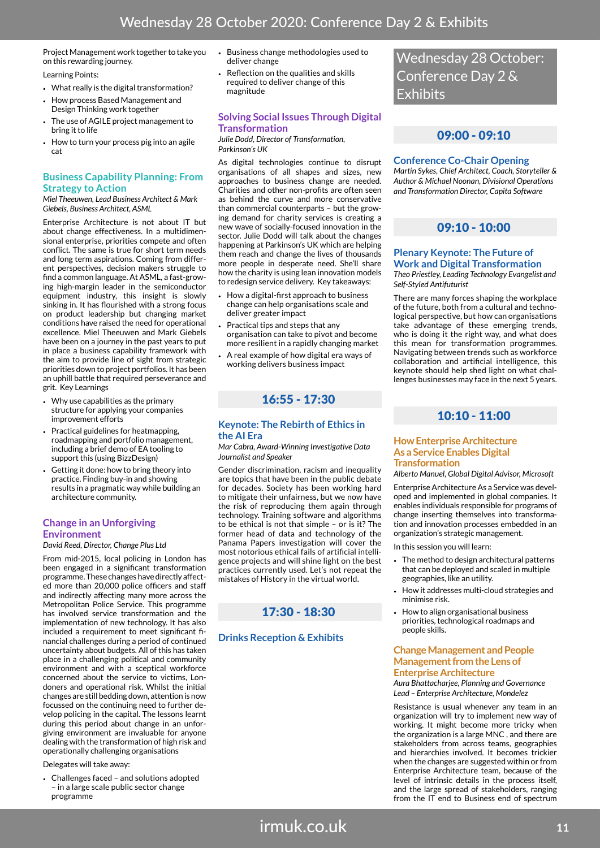Project Management work together to take you on this rewarding journey.

Learning Points:

- What really is the digital transformation?
- How process Based Management and Design Thinking work together
- The use of AGILE project management to bring it to life
- How to turn your process pig into an agile cat

#### **Business Capability Planning: From Strategy to Action**

*Miel Theeuwen, Lead Business Architect & Mark Giebels, Business Architect, ASML*

Enterprise Architecture is not about IT but about change effectiveness. In a multidimensional enterprise, priorities compete and often conflict. The same is true for short term needs and long term aspirations. Coming from different perspectives, decision makers struggle to find a common language. At ASML, a fast-growing high-margin leader in the semiconductor equipment industry, this insight is slowly sinking in. It has flourished with a strong focus on product leadership but changing market conditions have raised the need for operational excellence. Miel Theeuwen and Mark Giebels have been on a journey in the past years to put in place a business capability framework with the aim to provide line of sight from strategic priorities down to project portfolios. It has been an uphill battle that required perseverance and grit. Key Learnings

- Why use capabilities as the primary structure for applying your companies improvement efforts
- Practical guidelines for heatmapping, roadmapping and portfolio management, including a brief demo of EA tooling to support this (using BizzDesign)
- Getting it done: how to bring theory into practice. Finding buy-in and showing results in a pragmatic way while building an architecture community.

#### **Change in an Unforgiving Environment**

*David Reed, Director, Change Plus Ltd*

From mid-2015, local policing in London has been engaged in a significant transformation programme. These changes have directly affected more than 20,000 police officers and staff and indirectly affecting many more across the Metropolitan Police Service. This programme has involved service transformation and the implementation of new technology. It has also included a requirement to meet significant financial challenges during a period of continued uncertainty about budgets. All of this has taken place in a challenging political and community environment and with a sceptical workforce concerned about the service to victims, Londoners and operational risk. Whilst the initial changes are still bedding down, attention is now focussed on the continuing need to further develop policing in the capital. The lessons learnt during this period about change in an unforgiving environment are invaluable for anyone dealing with the transformation of high risk and operationally challenging organisations

Delegates will take away:

• Challenges faced – and solutions adopted – in a large scale public sector change programme

- Business change methodologies used to deliver change
- Reflection on the qualities and skills required to deliver change of this magnitude

#### **Solving Social Issues Through Digital Transformation**

*Julie Dodd, Director of Transformation, Parkinson's UK*

As digital technologies continue to disrupt organisations of all shapes and sizes, new approaches to business change are needed. Charities and other non-profits are often seen as behind the curve and more conservative than commercial counterparts – but the growing demand for charity services is creating a new wave of socially-focused innovation in the sector. Julie Dodd will talk about the changes happening at Parkinson's UK which are helping them reach and change the lives of thousands more people in desperate need. She'll share how the charity is using lean innovation models to redesign service delivery. Key takeaways:

- How a digital-first approach to business change can help organisations scale and deliver greater impact
- Practical tips and steps that any organisation can take to pivot and become more resilient in a rapidly changing market
- A real example of how digital era ways of working delivers business impact

### 16:55 - 17:30

#### **Keynote: The Rebirth of Ethics in the AI Era**

#### *Mar Cabra, Award-Winning Investigative Data Journalist and Speaker*

Gender discrimination, racism and inequality are topics that have been in the public debate for decades. Society has been working hard to mitigate their unfairness, but we now have the risk of reproducing them again through technology. Training software and algorithms to be ethical is not that simple – or is it? The former head of data and technology of the Panama Papers investigation will cover the most notorious ethical fails of artificial intelligence projects and will shine light on the best practices currently used. Let's not repeat the mistakes of History in the virtual world.

### 17:30 - 18:30

#### **Drinks Reception & Exhibits**

Wednesday 28 October: Conference Day 2 & **Exhibits** 

### 09:00 - 09:10

#### **Conference Co-Chair Opening**

*Martin Sykes, Chief Architect, Coach, Storyteller & Author & Michael Noonan, Divisional Operations and Transformation Director, Capita Software*

### 09:10 - 10:00

#### **Plenary Keynote: The Future of Work and Digital Transformation**

*Theo Priestley, Leading Technology Evangelist and Self-Styled Antifuturist*

There are many forces shaping the workplace of the future, both from a cultural and technological perspective, but how can organisations take advantage of these emerging trends, who is doing it the right way, and what does this mean for transformation programmes. Navigating between trends such as workforce collaboration and artificial intelligence, this keynote should help shed light on what challenges businesses may face in the next 5 years.

### 10:10 - 11:00

#### **How Enterprise Architecture As a Service Enables Digital Transformation**

*Alberto Manuel, Global Digital Advisor, Microsoft*

Enterprise Architecture As a Service was developed and implemented in global companies. It enables individuals responsible for programs of change inserting themselves into transformation and innovation processes embedded in an organization's strategic management.

In this session you will learn:

- The method to design architectural patterns that can be deployed and scaled in multiple geographies, like an utility.
- How it addresses multi-cloud strategies and minimise risk.
- How to align organisational business priorities, technological roadmaps and people skills.

#### **Change Management and People Management from the Lens of Enterprise Architecture**

*Aura Bhattacharjee, Planning and Governance Lead – Enterprise Architecture, Mondelez*

Resistance is usual whenever any team in an organization will try to implement new way of working. It might become more tricky when the organization is a large MNC , and there are stakeholders from across teams, geographies and hierarchies involved. It becomes trickier when the changes are suggested within or from Enterprise Architecture team, because of the level of intrinsic details in the process itself, and the large spread of stakeholders, ranging from the IT end to Business end of spectrum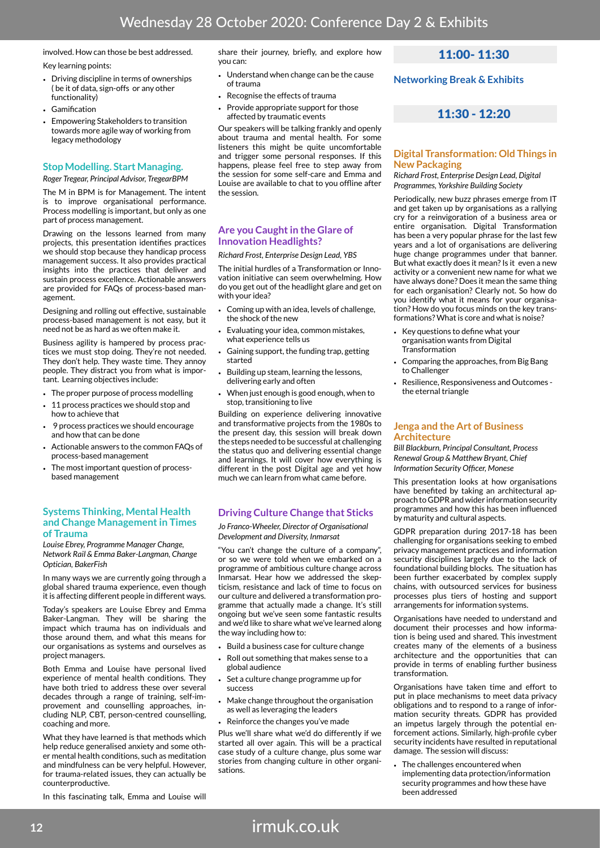### involved. How can those be best addressed.

Key learning points:

- Driving discipline in terms of ownerships ( be it of data, sign-offs or any other functionality)
- Gamification
- Empowering Stakeholders to transition towards more agile way of working from legacy methodology

### **Stop Modelling. Start Managing.**

*Roger Tregear, Principal Advisor, TregearBPM*

The M in BPM is for Management. The intent is to improve organisational performance. Process modelling is important, but only as one part of process management.

Drawing on the lessons learned from many projects, this presentation identifies practices we should stop because they handicap process management success. It also provides practical insights into the practices that deliver and sustain process excellence. Actionable answers are provided for FAQs of process-based management.

Designing and rolling out effective, sustainable process-based management is not easy, but it need not be as hard as we often make it.

Business agility is hampered by process practices we must stop doing. They're not needed. They don't help. They waste time. They annoy people. They distract you from what is important. Learning objectives include:

- The proper purpose of process modelling
- 11 process practices we should stop and how to achieve that
- 9 process practices we should encourage and how that can be done
- Actionable answers to the common FAQs of process-based management
- The most important question of processbased management

#### **Systems Thinking, Mental Health and Change Management in Times of Trauma**

*Louise Ebrey, Programme Manager Change, Network Rail & Emma Baker-Langman, Change Optician, BakerFish*

In many ways we are currently going through a global shared trauma experience, even though it is affecting different people in different ways.

Today's speakers are Louise Ebrey and Emma Baker-Langman. They will be sharing the impact which trauma has on individuals and those around them, and what this means for our organisations as systems and ourselves as project managers.

Both Emma and Louise have personal lived experience of mental health conditions. They have both tried to address these over several decades through a range of training, self-improvement and counselling approaches, including NLP, CBT, person-centred counselling, coaching and more.

What they have learned is that methods which help reduce generalised anxiety and some other mental health conditions, such as meditation and mindfulness can be very helpful. However, for trauma-related issues, they can actually be counterproductive.

In this fascinating talk, Emma and Louise will

share their journey, briefly, and explore how you can:

- Understand when change can be the cause of trauma
- Recognise the effects of trauma
- Provide appropriate support for those affected by traumatic events

Our speakers will be talking frankly and openly about trauma and mental health. For some listeners this might be quite uncomfortable and trigger some personal responses. If this happens, please feel free to step away from the session for some self-care and Emma and Louise are available to chat to you offline after the session.

#### **Are you Caught in the Glare of Innovation Headlights?**

#### *Richard Frost, Enterprise Design Lead, YBS*

The initial hurdles of a Transformation or Innovation initiative can seem overwhelming. How do you get out of the headlight glare and get on with your idea?

- Coming up with an idea, levels of challenge, the shock of the new
- Evaluating your idea, common mistakes, what experience tells us
- Gaining support, the funding trap, getting started
- Building up steam, learning the lessons, delivering early and often
- When just enough is good enough, when to stop, transitioning to live

Building on experience delivering innovative and transformative projects from the 1980s to the present day, this session will break down the steps needed to be successful at challenging the status quo and delivering essential change and learnings. It will cover how everything is different in the post Digital age and yet how much we can learn from what came before.

#### **Driving Culture Change that Sticks**

*Jo Franco-Wheeler, Director of Organisational Development and Diversity, Inmarsat*

"You can't change the culture of a company", or so we were told when we embarked on a programme of ambitious culture change across Inmarsat. Hear how we addressed the skepticism, resistance and lack of time to focus on our culture and delivered a transformation programme that actually made a change. It's still ongoing but we've seen some fantastic results and we'd like to share what we've learned along the way including how to:

- Build a business case for culture change
- Roll out something that makes sense to a global audience
- Set a culture change programme up for success
- Make change throughout the organisation as well as leveraging the leaders
- Reinforce the changes you've made

Plus we'll share what we'd do differently if we started all over again. This will be a practical case study of a culture change, plus some war stories from changing culture in other organisations.

### 11:00- 11:30

**Networking Break & Exhibits**

### 11:30 - 12:20

#### **Digital Transformation: Old Things in New Packaging**

*Richard Frost, Enterprise Design Lead, Digital Programmes, Yorkshire Building Society*

Periodically, new buzz phrases emerge from IT and get taken up by organisations as a rallying cry for a reinvigoration of a business area or entire organisation. Digital Transformation has been a very popular phrase for the last few years and a lot of organisations are delivering huge change programmes under that banner. But what exactly does it mean? Is it even a new activity or a convenient new name for what we have always done? Does it mean the same thing for each organisation? Clearly not. So how do you identify what it means for your organisation? How do you focus minds on the key transformations? What is core and what is noise?

- Key questions to define what your organisation wants from Digital **Transformation**
- Comparing the approaches, from Big Bang to Challenger
- Resilience, Responsiveness and Outcomes the eternal triangle

#### **Jenga and the Art of Business Architecture**

*Bill Blackburn, Principal Consultant, Process Renewal Group & Matthew Bryant, Chief Information Security Officer, Monese*

This presentation looks at how organisations have benefited by taking an architectural approach to GDPR and wider information security programmes and how this has been influenced by maturity and cultural aspects.

GDPR preparation during 2017-18 has been challenging for organisations seeking to embed privacy management practices and information security disciplines largely due to the lack of foundational building blocks. The situation has been further exacerbated by complex supply chains, with outsourced services for business processes plus tiers of hosting and support arrangements for information systems.

Organisations have needed to understand and document their processes and how information is being used and shared. This investment creates many of the elements of a business architecture and the opportunities that can provide in terms of enabling further business transformation.

Organisations have taken time and effort to put in place mechanisms to meet data privacy obligations and to respond to a range of information security threats. GDPR has provided an impetus largely through the potential enforcement actions. Similarly, high-profile cyber security incidents have resulted in reputational damage. The session will discuss:

The challenges encountered when implementing data protection/information security programmes and how these have been addressed

irmuk.co.uk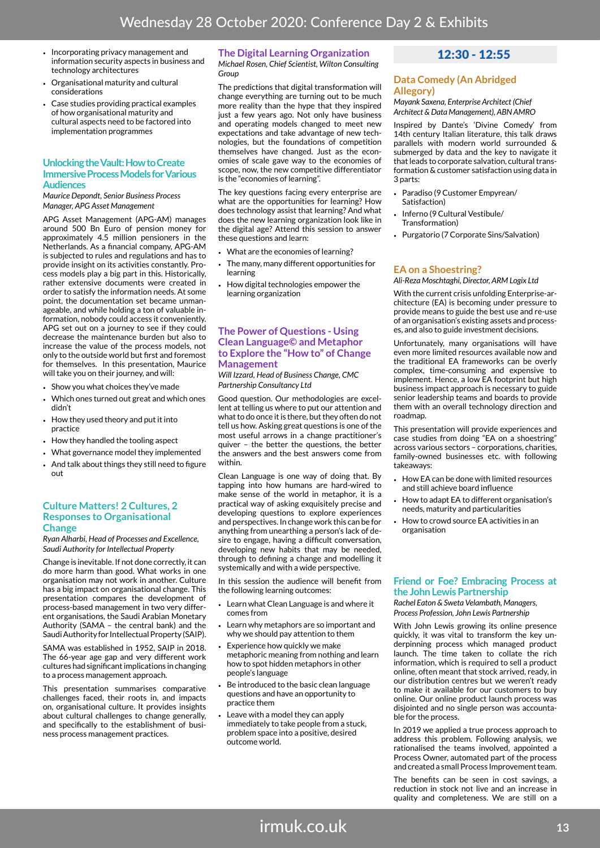- Incorporating privacy management and information security aspects in business and technology architectures
- Organisational maturity and cultural considerations
- Case studies providing practical examples of how organisational maturity and cultural aspects need to be factored into implementation programmes

#### **Unlocking the Vault: How to Create Immersive Process Models for Various Audiences**

*Maurice Depondt, Senior Business Process Manager, APG Asset Management*

APG Asset Management (APG-AM) manages around 500 Bn Euro of pension money for approximately 4.5 million pensioners in the Netherlands. As a financial company, APG-AM is subjected to rules and regulations and has to provide insight on its activities constantly. Process models play a big part in this. Historically, rather extensive documents were created in order to satisfy the information needs. At some point, the documentation set became unmanageable, and while holding a ton of valuable information, nobody could access it conveniently. APG set out on a journey to see if they could decrease the maintenance burden but also to increase the value of the process models, not only to the outside world but first and foremost for themselves. In this presentation, Maurice will take you on their journey, and will:

- Show you what choices they've made
- Which ones turned out great and which ones didn't
- How they used theory and put it into practice
- How they handled the tooling aspect
- What governance model they implemented
- And talk about things they still need to figure out

#### **Culture Matters! 2 Cultures, 2 Responses to Organisational Change**

*Ryan Alharbi, Head of Processes and Excellence, Saudi Authority for Intellectual Property*

Change is inevitable. If not done correctly, it can do more harm than good. What works in one organisation may not work in another. Culture has a big impact on organisational change. This presentation compares the development of process-based management in two very different organisations, the Saudi Arabian Monetary Authority (SAMA – the central bank) and the Saudi Authority for Intellectual Property (SAIP).

SAMA was established in 1952, SAIP in 2018. The 66-year age gap and very different work cultures had significant implications in changing to a process management approach.

This presentation summarises comparative challenges faced, their roots in, and impacts on, organisational culture. It provides insights about cultural challenges to change generally, and specifically to the establishment of business process management practices.

#### **The Digital Learning Organization**

*Michael Rosen, Chief Scientist, Wilton Consulting Group*

The predictions that digital transformation will change everything are turning out to be much more reality than the hype that they inspired just a few years ago. Not only have business and operating models changed to meet new expectations and take advantage of new technologies, but the foundations of competition themselves have changed. Just as the economies of scale gave way to the economies of scope, now, the new competitive differentiator is the "economies of learning".

The key questions facing every enterprise are what are the opportunities for learning? How does technology assist that learning? And what does the new learning organization look like in the digital age? Attend this session to answer these questions and learn:

- What are the economies of learning?
- The many, many different opportunities for learning
- How digital technologies empower the learning organization

#### **The Power of Questions - Using Clean Language© and Metaphor to Explore the "How to" of Change Management**

*Will Izzard, Head of Business Change, CMC Partnership Consultancy Ltd*

Good question. Our methodologies are excellent at telling us where to put our attention and what to do once it is there, but they often do not tell us how. Asking great questions is one of the most useful arrows in a change practitioner's quiver – the better the questions, the better the answers and the best answers come from within

Clean Language is one way of doing that. By tapping into how humans are hard-wired to make sense of the world in metaphor, it is a practical way of asking exquisitely precise and developing questions to explore experiences and perspectives. In change work this can be for anything from unearthing a person's lack of desire to engage, having a difficult conversation, developing new habits that may be needed, through to defining a change and modelling it systemically and with a wide perspective.

In this session the audience will benefit from the following learning outcomes:

- Learn what Clean Language is and where it comes from
- Learn why metaphors are so important and why we should pay attention to them
- Experience how quickly we make metaphoric meaning from nothing and learn how to spot hidden metaphors in other people's language
- Be introduced to the basic clean language questions and have an opportunity to practice them
- Leave with a model they can apply immediately to take people from a stuck, problem space into a positive, desired outcome world.

### 12:30 - 12:55

#### **Data Comedy (An Abridged Allegory)**

*Mayank Saxena, Enterprise Architect (Chief Architect & Data Management), ABN AMRO*

Inspired by Dante's 'Divine Comedy' from 14th century Italian literature, this talk draws parallels with modern world surrounded & submerged by data and the key to navigate it that leads to corporate salvation, cultural transformation & customer satisfaction using data in 3 parts:

- Paradiso (9 Customer Empyrean/ Satisfaction)
- Inferno (9 Cultural Vestibule/ Transformation)
- Purgatorio (7 Corporate Sins/Salvation)

#### **EA on a Shoestring?**

*Ali-Reza Moschtaghi, Director, ARM Logix Ltd*

With the current crisis unfolding Enterprise-architecture (EA) is becoming under pressure to provide means to guide the best use and re-use of an organisation's existing assets and processes, and also to guide investment decisions.

Unfortunately, many organisations will have even more limited resources available now and the traditional EA frameworks can be overly complex, time-consuming and expensive to implement. Hence, a low EA footprint but high business impact approach is necessary to guide senior leadership teams and boards to provide them with an overall technology direction and roadmap.

This presentation will provide experiences and case studies from doing "EA on a shoestring" across various sectors – corporations, charities, family-owned businesses etc. with following takeaways:

- How EA can be done with limited resources and still achieve board influence
- How to adapt EA to different organisation's needs, maturity and particularities
- How to crowd source EA activities in an organisation

#### **Friend or Foe? Embracing Process at the John Lewis Partnership**

*Rachel Eaton & Sweta Velambath, Managers, Process Profession, John Lewis Partnership*

With John Lewis growing its online presence quickly, it was vital to transform the key underpinning process which managed product launch. The time taken to collate the rich information, which is required to sell a product online, often meant that stock arrived, ready, in our distribution centres but we weren't ready to make it available for our customers to buy online. Our online product launch process was disjointed and no single person was accountable for the process.

In 2019 we applied a true process approach to address this problem. Following analysis, we rationalised the teams involved, appointed a Process Owner, automated part of the process and created a small Process Improvement team.

The benefits can be seen in cost savings, a reduction in stock not live and an increase in quality and completeness. We are still on a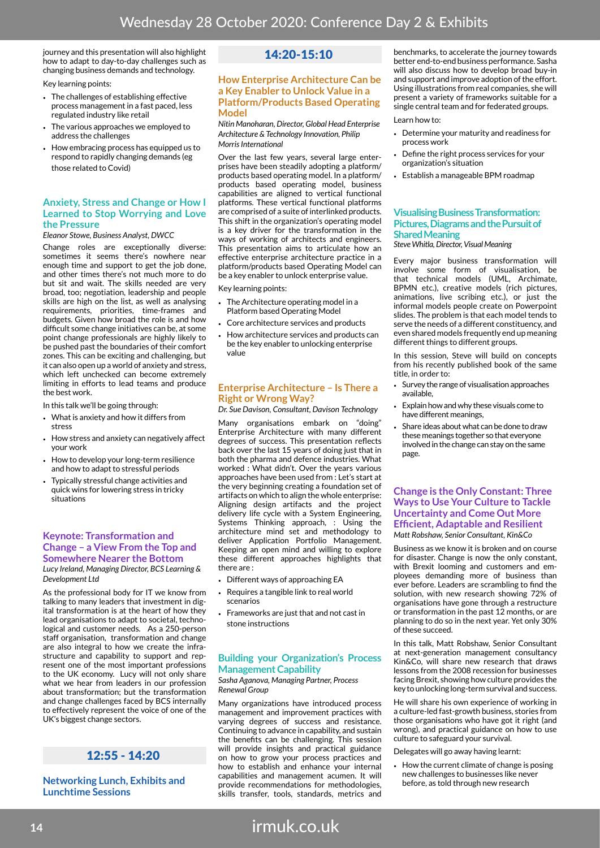journey and this presentation will also highlight how to adapt to day-to-day challenges such as changing business demands and technology.

Key learning points:

- The challenges of establishing effective process management in a fast paced, less regulated industry like retail
- The various approaches we employed to address the challenges
- How embracing process has equipped us to respond to rapidly changing demands (eg those related to Covid)

#### **Anxiety, Stress and Change or How I Learned to Stop Worrying and Love the Pressure**

#### *Eleanor Stowe, Business Analyst, DWCC*

Change roles are exceptionally diverse: sometimes it seems there's nowhere near enough time and support to get the job done, and other times there's not much more to do but sit and wait. The skills needed are very broad, too; negotiation, leadership and people skills are high on the list, as well as analysing requirements, priorities, time-frames and budgets. Given how broad the role is and how difficult some change initiatives can be, at some point change professionals are highly likely to be pushed past the boundaries of their comfort zones. This can be exciting and challenging, but it can also open up a world of anxiety and stress, which left unchecked can become extremely limiting in efforts to lead teams and produce the best work.

In this talk we'll be going through:

- What is anxiety and how it differs from stress
- How stress and anxiety can negatively affect your work
- How to develop your long-term resilience and how to adapt to stressful periods
- Typically stressful change activities and quick wins for lowering stress in tricky situations

#### **Keynote: Transformation and Change – a View From the Top and Somewhere Nearer the Bottom** *Lucy Ireland, Managing Director, BCS Learning &*

*Development Ltd*

As the professional body for IT we know from talking to many leaders that investment in digital transformation is at the heart of how they lead organisations to adapt to societal, technological and customer needs. As a 250-person staff organisation, transformation and change are also integral to how we create the infrastructure and capability to support and represent one of the most important professions to the UK economy. Lucy will not only share what we hear from leaders in our profession about transformation; but the transformation and change challenges faced by BCS internally to effectively represent the voice of one of the UK's biggest change sectors.

### 12:55 - 14:20

#### **Networking Lunch, Exhibits and Lunchtime Sessions**

### 14:20-15:10

#### **How Enterprise Architecture Can be a Key Enabler to Unlock Value in a Platform/Products Based Operating Model**

#### *Nitin Manoharan, Director, Global Head Enterprise Architecture & Technology Innovation, Philip Morris International*

Over the last few years, several large enterprises have been steadily adopting a platform/ products based operating model. In a platform/ products based operating model, business capabilities are aligned to vertical functional platforms. These vertical functional platforms are comprised of a suite of interlinked products. This shift in the organization's operating model is a key driver for the transformation in the ways of working of architects and engineers. This presentation aims to articulate how an effective enterprise architecture practice in a platform/products based Operating Model can be a key enabler to unlock enterprise value.

Key learning points:

- The Architecture operating model in a Platform based Operating Model
- Core architecture services and products
- How architecture services and products can be the key enabler to unlocking enterprise value

#### **Enterprise Architecture – Is There a Right or Wrong Way?**

*Dr. Sue Davison, Consultant, Davison Technology*

Many organisations embark on "doing" Enterprise Architecture with many different degrees of success. This presentation reflects back over the last 15 years of doing just that in both the pharma and defence industries. What worked : What didn't. Over the years various approaches have been used from : Let's start at the very beginning creating a foundation set of artifacts on which to align the whole enterprise: Aligning design artifacts and the project delivery life cycle with a System Engineering, Systems Thinking approach, : Using the architecture mind set and methodology to deliver Application Portfolio Management. Keeping an open mind and willing to explore these different approaches highlights that there are :

- Different ways of approaching EA
- Requires a tangible link to real world scenarios
- Frameworks are just that and not cast in stone instructions

#### **Building your Organization's Process Management Capability**

#### *Sasha Aganova, Managing Partner, Process Renewal Group*

Many organizations have introduced process management and improvement practices with varying degrees of success and resistance. Continuing to advance in capability, and sustain the benefits can be challenging. This session will provide insights and practical guidance on how to grow your process practices and how to establish and enhance your internal capabilities and management acumen. It will provide recommendations for methodologies, skills transfer, tools, standards, metrics and

benchmarks, to accelerate the journey towards better end-to-end business performance. Sasha will also discuss how to develop broad buy-in and support and improve adoption of the effort. Using illustrations from real companies, she will present a variety of frameworks suitable for a single central team and for federated groups.

#### Learn how to:

- Determine your maturity and readiness for process work
- Define the right process services for your organization's situation
- Establish a manageable BPM roadmap

#### **Visualising Business Transformation: Pictures, Diagrams and the Pursuit of Shared Meaning**

*Steve Whitla, Director, Visual Meaning*

Every major business transformation will involve some form of visualisation, be that technical models (UML, Archimate, BPMN etc.), creative models (rich pictures, animations, live scribing etc.), or just the informal models people create on Powerpoint slides. The problem is that each model tends to serve the needs of a different constituency, and even shared models frequently end up meaning different things to different groups.

In this session, Steve will build on concepts from his recently published book of the same title, in order to:

- Survey the range of visualisation approaches available,
- Explain how and why these visuals come to have different meanings,
- Share ideas about what can be done to draw these meanings together so that everyone involved in the change can stay on the same page.

#### **Change is the Only Constant: Three Ways to Use Your Culture to Tackle Uncertainty and Come Out More Efficient, Adaptable and Resilient** *Matt Robshaw, Senior Consultant, Kin&Co*

Business as we know it is broken and on course for disaster. Change is now the only constant, with Brexit looming and customers and employees demanding more of business than ever before. Leaders are scrambling to find the solution, with new research showing 72% of organisations have gone through a restructure or transformation in the past 12 months, or are planning to do so in the next year. Yet only 30% of these succeed.

In this talk, Matt Robshaw, Senior Consultant at next-generation management consultancy Kin&Co, will share new research that draws lessons from the 2008 recession for businesses facing Brexit, showing how culture provides the key to unlocking long-term survival and success.

He will share his own experience of working in a culture-led fast-growth business, stories from those organisations who have got it right (and wrong), and practical guidance on how to use culture to safeguard your survival.

Delegates will go away having learnt:

• How the current climate of change is posing new challenges to businesses like never before, as told through new research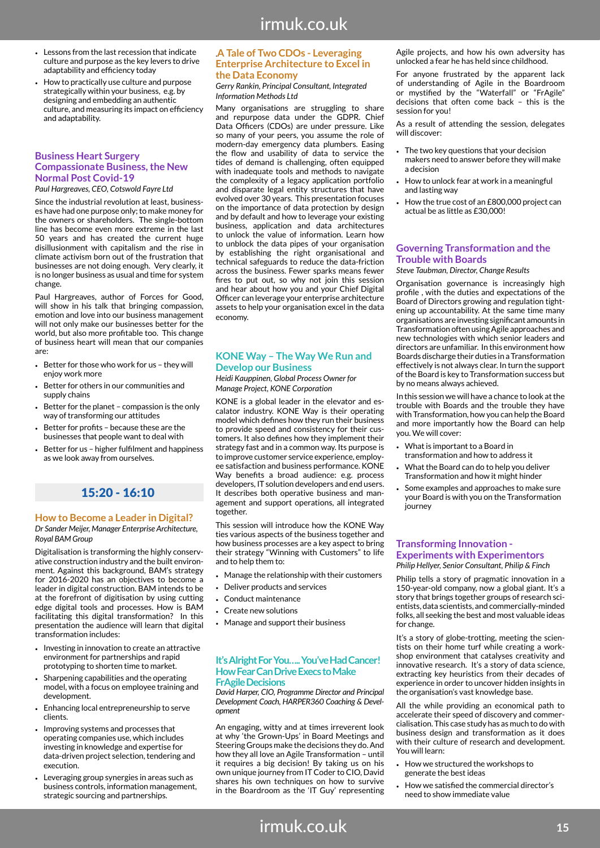- Lessons from the last recession that indicate culture and purpose as the key levers to drive adaptability and efficiency today
- How to practically use culture and purpose strategically within your business, e.g. by designing and embedding an authentic culture, and measuring its impact on efficiency and adaptability.

#### **Business Heart Surgery Compassionate Business, the New Normal Post Covid-19**

*Paul Hargreaves, CEO, Cotswold Fayre Ltd*

Since the industrial revolution at least, businesses have had one purpose only; to make money for the owners or shareholders. The single-bottom line has become even more extreme in the last 50 years and has created the current huge disillusionment with capitalism and the rise in climate activism born out of the frustration that businesses are not doing enough. Very clearly, it is no longer business as usual and time for system change.

Paul Hargreaves, author of Forces for Good, will show in his talk that bringing compassion, emotion and love into our business management will not only make our businesses better for the world, but also more profitable too. This change of business heart will mean that our companies are:

- Better for those who work for us they will enjoy work more
- Better for others in our communities and supply chains
- Better for the planet compassion is the only way of transforming our attitudes
- Better for profits because these are the businesses that people want to deal with
- Better for us higher fulfilment and happiness as we look away from ourselves.

### 15:20 - 16:10

#### **How to Become a Leader in Digital?**

*Dr Sander Meijer, Manager Enterprise Architecture, Royal BAM Group*

Digitalisation is transforming the highly conservative construction industry and the built environment. Against this background, BAM's strategy for 2016-2020 has an objectives to become a leader in digital construction. BAM intends to be at the forefront of digitisation by using cutting edge digital tools and processes. How is BAM facilitating this digital transformation? In this presentation the audience will learn that digital transformation includes:

- Investing in innovation to create an attractive environment for partnerships and rapid prototyping to shorten time to market.
- Sharpening capabilities and the operating model, with a focus on employee training and development.
- Enhancing local entrepreneurship to serve clients.
- Improving systems and processes that operating companies use, which includes investing in knowledge and expertise for data-driven project selection, tendering and execution.
- Leveraging group synergies in areas such as business controls, information management, strategic sourcing and partnerships.

#### .**A Tale of Two CDOs - Leveraging Enterprise Architecture to Excel in the Data Economy**

#### *Gerry Rankin, Principal Consultant, Integrated Information Methods Ltd*

Many organisations are struggling to share and repurpose data under the GDPR. Chief Data Officers (CDOs) are under pressure. Like so many of your peers, you assume the role of modern-day emergency data plumbers. Easing the flow and usability of data to service the tides of demand is challenging, often equipped with inadequate tools and methods to navigate the complexity of a legacy application portfolio and disparate legal entity structures that have evolved over 30 years. This presentation focuses on the importance of data protection by design and by default and how to leverage your existing business, application and data architectures to unlock the value of information. Learn how to unblock the data pipes of your organisation by establishing the right organisational and technical safeguards to reduce the data-friction across the business. Fewer sparks means fewer fires to put out, so why not join this session and hear about how you and your Chief Digital Officer can leverage your enterprise architecture assets to help your organisation excel in the data economy.

#### **KONE Way – The Way We Run and Develop our Business**

*Heidi Kauppinen, Global Process Owner for Manage Project, KONE Corporation*

KONE is a global leader in the elevator and escalator industry. KONE Way is their operating model which defines how they run their business to provide speed and consistency for their customers. It also defines how they implement their strategy fast and in a common way. Its purpose is to improve customer service experience, employee satisfaction and business performance. KONE Way benefits a broad audience: e.g. process developers, IT solution developers and end users. It describes both operative business and management and support operations, all integrated together.

This session will introduce how the KONE Way ties various aspects of the business together and how business processes are a key aspect to bring their strategy "Winning with Customers" to life and to help them to:

- Manage the relationship with their customers
- Deliver products and services
- Conduct maintenance
- Create new solutions
- Manage and support their business

#### **It's Alright For You….. You've Had Cancer! How Fear Can Drive Execs to Make FrAgile Decisions**

*David Harper, CIO, Programme Director and Principal Development Coach, HARPER360 Coaching & Development*

An engaging, witty and at times irreverent look at why 'the Grown-Ups' in Board Meetings and Steering Groups make the decisions they do. And how they all love an Agile Transformation – until it requires a big decision! By taking us on his own unique journey from IT Coder to CIO, David shares his own techniques on how to survive in the Boardroom as the 'IT Guy' representing Agile projects, and how his own adversity has unlocked a fear he has held since childhood.

For anyone frustrated by the apparent lack of understanding of Agile in the Boardroom or mystified by the "Waterfall" or "FrAgile" decisions that often come back – this is the session for you!

As a result of attending the session, delegates will discover:

- The two key questions that your decision makers need to answer before they will make a decision
- How to unlock fear at work in a meaningful and lasting way
- How the true cost of an £800,000 project can actual be as little as £30,000!

#### **Governing Transformation and the Trouble with Boards**

#### *Steve Taubman, Director, Change Results*

Organisation governance is increasingly high profile , with the duties and expectations of the Board of Directors growing and regulation tightening up accountability. At the same time many organisations are investing significant amounts in Transformation often using Agile approaches and new technologies with which senior leaders and directors are unfamiliar. In this environment how Boards discharge their duties in a Transformation effectively is not always clear. In turn the support of the Board is key to Transformation success but by no means always achieved.

In this session we will have a chance to look at the trouble with Boards and the trouble they have with Transformation, how you can help the Board and more importantly how the Board can help you. We will cover:

- What is important to a Board in transformation and how to address it
- What the Board can do to help you deliver Transformation and how it might hinder
- Some examples and approaches to make sure your Board is with you on the Transformation iourney

#### **Transforming Innovation - Experiments with Experimentors** *Philip Hellyer, Senior Consultant, Philip & Finch*

Philip tells a story of pragmatic innovation in a 150-year-old company, now a global giant. It's a story that brings together groups of research scientists, data scientists, and commercially-minded folks, all seeking the best and most valuable ideas for change.

It's a story of globe-trotting, meeting the scientists on their home turf while creating a workshop environment that catalyses creativity and innovative research. It's a story of data science, extracting key heuristics from their decades of experience in order to uncover hidden insights in the organisation's vast knowledge base.

All the while providing an economical path to accelerate their speed of discovery and commercialisation. This case study has as much to do with business design and transformation as it does with their culture of research and development. You will learn:

- How we structured the workshops to generate the best ideas
- How we satisfied the commercial director's need to show immediate value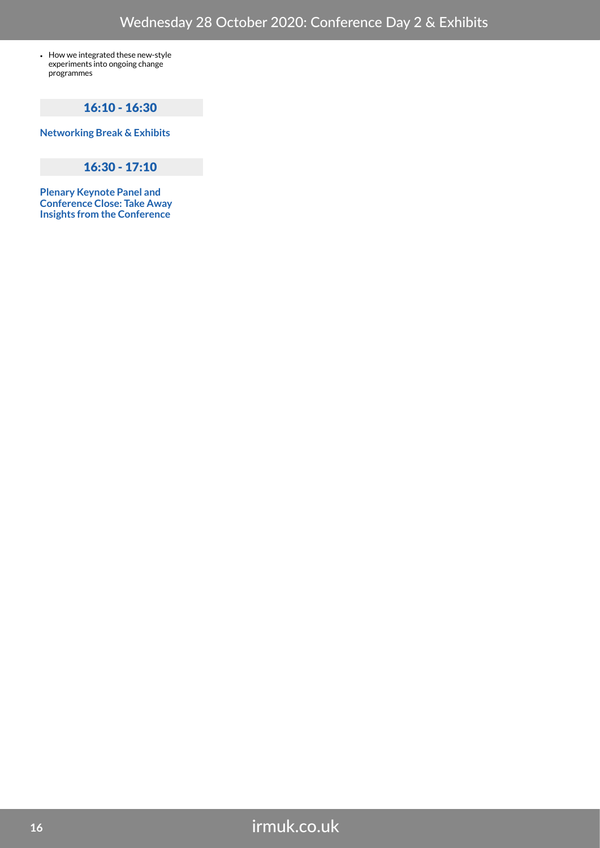• How we integrated these new-style experiments into ongoing change programmes

### 16:10 - 16:30

**Networking Break & Exhibits**

### 16:30 - 17:10

**Plenary Keynote Panel and Conference Close: Take Away Insights from the Conference**